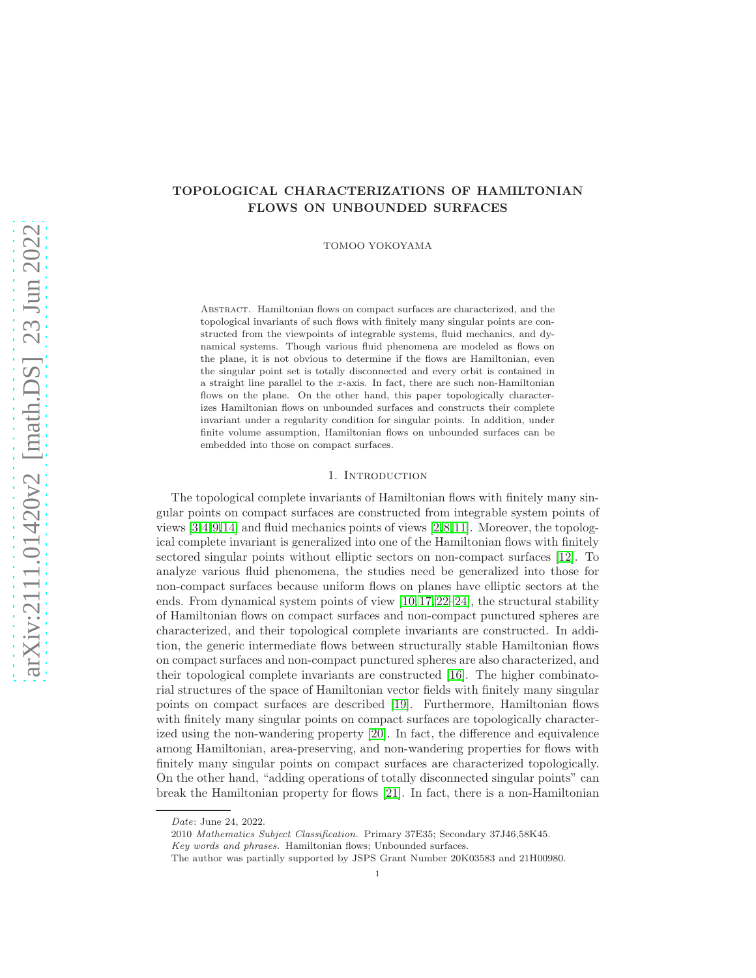# TOPOLOGICAL CHARACTERIZATIONS OF HAMILTONIAN FLOWS ON UNBOUNDED SURFACES

TOMOO YOKOYAMA

Abstract. Hamiltonian flows on compact surfaces are characterized, and the topological invariants of such flows with finitely many singular points are constructed from the viewpoints of integrable systems, fluid mechanics, and dynamical systems. Though various fluid phenomena are modeled as flows on the plane, it is not obvious to determine if the flows are Hamiltonian, even the singular point set is totally disconnected and every orbit is contained in a straight line parallel to the x-axis. In fact, there are such non-Hamiltonian flows on the plane. On the other hand, this paper topologically characterizes Hamiltonian flows on unbounded surfaces and constructs their complete invariant under a regularity condition for singular points. In addition, under finite volume assumption, Hamiltonian flows on unbounded surfaces can be embedded into those on compact surfaces.

## 1. INTRODUCTION

The topological complete invariants of Hamiltonian flows with finitely many singular points on compact surfaces are constructed from integrable system points of views [\[3,](#page-16-0)[4,](#page-16-1)[9,](#page-16-2)[14\]](#page-16-3) and fluid mechanics points of views [\[2,](#page-16-4)[8,](#page-16-5)[11\]](#page-16-6). Moreover, the topological complete invariant is generalized into one of the Hamiltonian flows with finitely sectored singular points without elliptic sectors on non-compact surfaces [\[12\]](#page-16-7). To analyze various fluid phenomena, the studies need be generalized into those for non-compact surfaces because uniform flows on planes have elliptic sectors at the ends. From dynamical system points of view  $[10, 17, 22-24]$  $[10, 17, 22-24]$  $[10, 17, 22-24]$  $[10, 17, 22-24]$ , the structural stability of Hamiltonian flows on compact surfaces and non-compact punctured spheres are characterized, and their topological complete invariants are constructed. In addition, the generic intermediate flows between structurally stable Hamiltonian flows on compact surfaces and non-compact punctured spheres are also characterized, and their topological complete invariants are constructed [\[16\]](#page-16-10). The higher combinatorial structures of the space of Hamiltonian vector fields with finitely many singular points on compact surfaces are described [\[19\]](#page-16-11). Furthermore, Hamiltonian flows with finitely many singular points on compact surfaces are topologically characterized using the non-wandering property [\[20\]](#page-17-2). In fact, the difference and equivalence among Hamiltonian, area-preserving, and non-wandering properties for flows with finitely many singular points on compact surfaces are characterized topologically. On the other hand, "adding operations of totally disconnected singular points" can break the Hamiltonian property for flows [\[21\]](#page-17-3). In fact, there is a non-Hamiltonian

*Date*: June 24, 2022.

<sup>2010</sup> *Mathematics Subject Classification.* Primary 37E35; Secondary 37J46,58K45.

*Key words and phrases.* Hamiltonian flows; Unbounded surfaces.

The author was partially supported by JSPS Grant Number 20K03583 and 21H00980.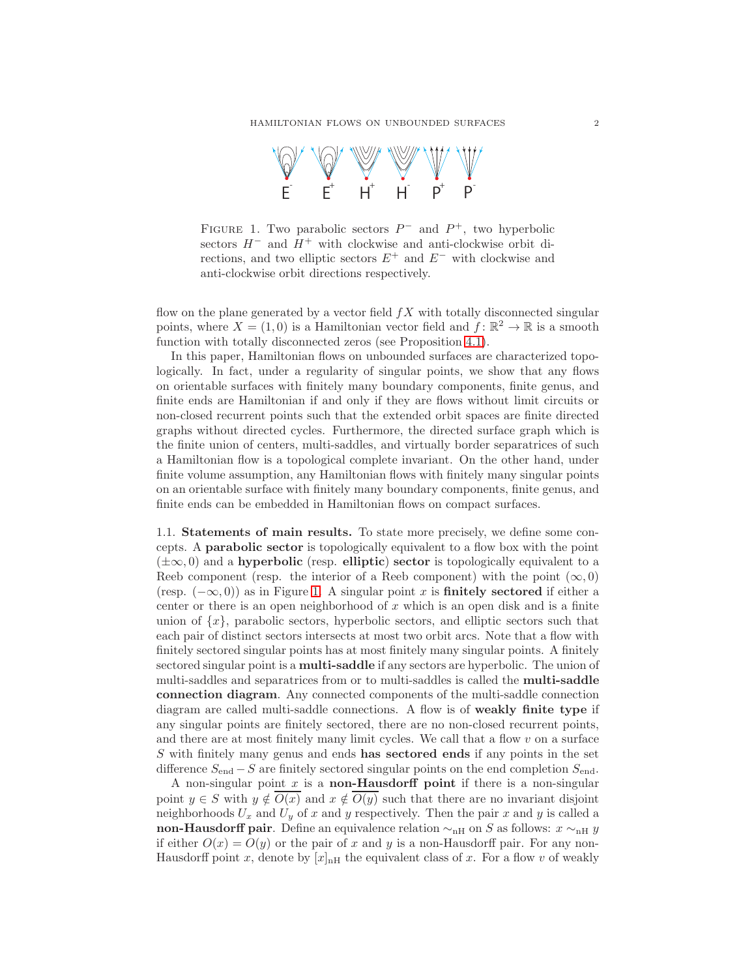

<span id="page-1-0"></span>FIGURE 1. Two parabolic sectors  $P^-$  and  $P^+$ , two hyperbolic sectors  $H^-$  and  $H^+$  with clockwise and anti-clockwise orbit directions, and two elliptic sectors  $E^+$  and  $E^-$  with clockwise and anti-clockwise orbit directions respectively.

flow on the plane generated by a vector field  $fX$  with totally disconnected singular points, where  $X = (1,0)$  is a Hamiltonian vector field and  $f: \mathbb{R}^2 \to \mathbb{R}$  is a smooth function with totally disconnected zeros (see Proposition [4.1\)](#page-15-0).

In this paper, Hamiltonian flows on unbounded surfaces are characterized topologically. In fact, under a regularity of singular points, we show that any flows on orientable surfaces with finitely many boundary components, finite genus, and finite ends are Hamiltonian if and only if they are flows without limit circuits or non-closed recurrent points such that the extended orbit spaces are finite directed graphs without directed cycles. Furthermore, the directed surface graph which is the finite union of centers, multi-saddles, and virtually border separatrices of such a Hamiltonian flow is a topological complete invariant. On the other hand, under finite volume assumption, any Hamiltonian flows with finitely many singular points on an orientable surface with finitely many boundary components, finite genus, and finite ends can be embedded in Hamiltonian flows on compact surfaces.

1.1. Statements of main results. To state more precisely, we define some concepts. A parabolic sector is topologically equivalent to a flow box with the point  $(\pm\infty, 0)$  and a hyperbolic (resp. elliptic) sector is topologically equivalent to a Reeb component (resp. the interior of a Reeb component) with the point  $(\infty, 0)$ (resp.  $(-\infty, 0)$ ) as in Figure [1.](#page-1-0) A singular point x is **finitely sectored** if either a center or there is an open neighborhood of  $x$  which is an open disk and is a finite union of  $\{x\}$ , parabolic sectors, hyperbolic sectors, and elliptic sectors such that each pair of distinct sectors intersects at most two orbit arcs. Note that a flow with finitely sectored singular points has at most finitely many singular points. A finitely sectored singular point is a multi-saddle if any sectors are hyperbolic. The union of multi-saddles and separatrices from or to multi-saddles is called the multi-saddle connection diagram. Any connected components of the multi-saddle connection diagram are called multi-saddle connections. A flow is of weakly finite type if any singular points are finitely sectored, there are no non-closed recurrent points, and there are at most finitely many limit cycles. We call that a flow  $v$  on a surface S with finitely many genus and ends has sectored ends if any points in the set difference  $S_{\text{end}} - S$  are finitely sectored singular points on the end completion  $S_{\text{end}}$ .

A non-singular point  $x$  is a **non-Hausdorff point** if there is a non-singular point  $y \in S$  with  $y \notin O(x)$  and  $x \notin O(y)$  such that there are no invariant disjoint neighborhoods  $U_x$  and  $U_y$  of x and y respectively. Then the pair x and y is called a non-Hausdorff pair. Define an equivalence relation  $\sim_{\text{nH}}$  on S as follows:  $x \sim_{\text{nH}} y$ if either  $O(x) = O(y)$  or the pair of x and y is a non-Hausdorff pair. For any non-Hausdorff point x, denote by  $[x]_{n}$  the equivalent class of x. For a flow v of weakly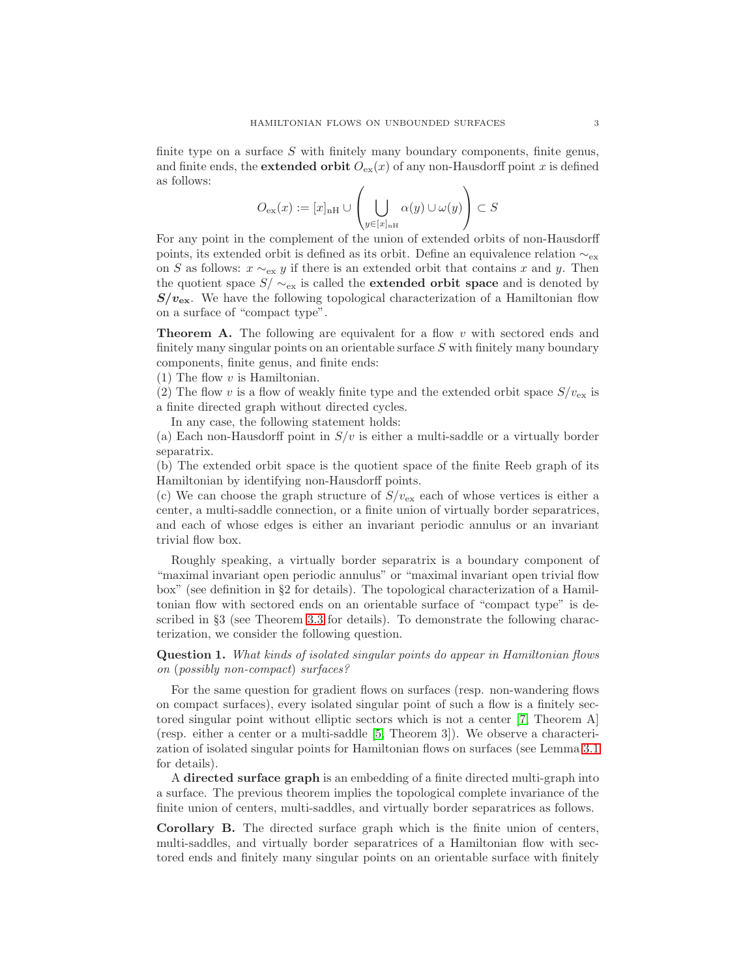finite type on a surface  $S$  with finitely many boundary components, finite genus, and finite ends, the **extended orbit**  $O_{ex}(x)$  of any non-Hausdorff point x is defined as follows:

$$
O_{\text{ex}}(x) := [x]_{\text{nH}} \cup \left(\bigcup_{y \in [x]_{\text{nH}}} \alpha(y) \cup \omega(y)\right) \subset S
$$

For any point in the complement of the union of extended orbits of non-Hausdorff points, its extended orbit is defined as its orbit. Define an equivalence relation  $\sim_{\rm ex}$ on S as follows:  $x \sim_{\text{ex}} y$  if there is an extended orbit that contains x and y. Then the quotient space  $S/\sim_{\text{ex}}$  is called the **extended orbit space** and is denoted by  $S/v_{\text{ex}}$ . We have the following topological characterization of a Hamiltonian flow on a surface of "compact type".

<span id="page-2-0"></span>**Theorem A.** The following are equivalent for a flow v with sectored ends and finitely many singular points on an orientable surface  $S$  with finitely many boundary components, finite genus, and finite ends:

 $(1)$  The flow v is Hamiltonian.

(2) The flow v is a flow of weakly finite type and the extended orbit space  $S/v_{\text{ex}}$  is a finite directed graph without directed cycles.

In any case, the following statement holds:

(a) Each non-Hausdorff point in  $S/v$  is either a multi-saddle or a virtually border separatrix.

(b) The extended orbit space is the quotient space of the finite Reeb graph of its Hamiltonian by identifying non-Hausdorff points.

(c) We can choose the graph structure of  $S/v_{\text{ex}}$  each of whose vertices is either a center, a multi-saddle connection, or a finite union of virtually border separatrices, and each of whose edges is either an invariant periodic annulus or an invariant trivial flow box.

Roughly speaking, a virtually border separatrix is a boundary component of "maximal invariant open periodic annulus" or "maximal invariant open trivial flow box" (see definition in §2 for details). The topological characterization of a Hamiltonian flow with sectored ends on an orientable surface of "compact type" is described in §3 (see Theorem [3.3](#page-12-0) for details). To demonstrate the following characterization, we consider the following question.

Question 1. What kinds of isolated singular points do appear in Hamiltonian flows on (possibly non-compact) surfaces?

For the same question for gradient flows on surfaces (resp. non-wandering flows on compact surfaces), every isolated singular point of such a flow is a finitely sectored singular point without elliptic sectors which is not a center [\[7,](#page-16-12) Theorem A] (resp. either a center or a multi-saddle [\[5,](#page-16-13) Theorem 3]). We observe a characterization of isolated singular points for Hamiltonian flows on surfaces (see Lemma [3.1](#page-8-0) for details).

A directed surface graph is an embedding of a finite directed multi-graph into a surface. The previous theorem implies the topological complete invariance of the finite union of centers, multi-saddles, and virtually border separatrices as follows.

<span id="page-2-1"></span>Corollary B. The directed surface graph which is the finite union of centers, multi-saddles, and virtually border separatrices of a Hamiltonian flow with sectored ends and finitely many singular points on an orientable surface with finitely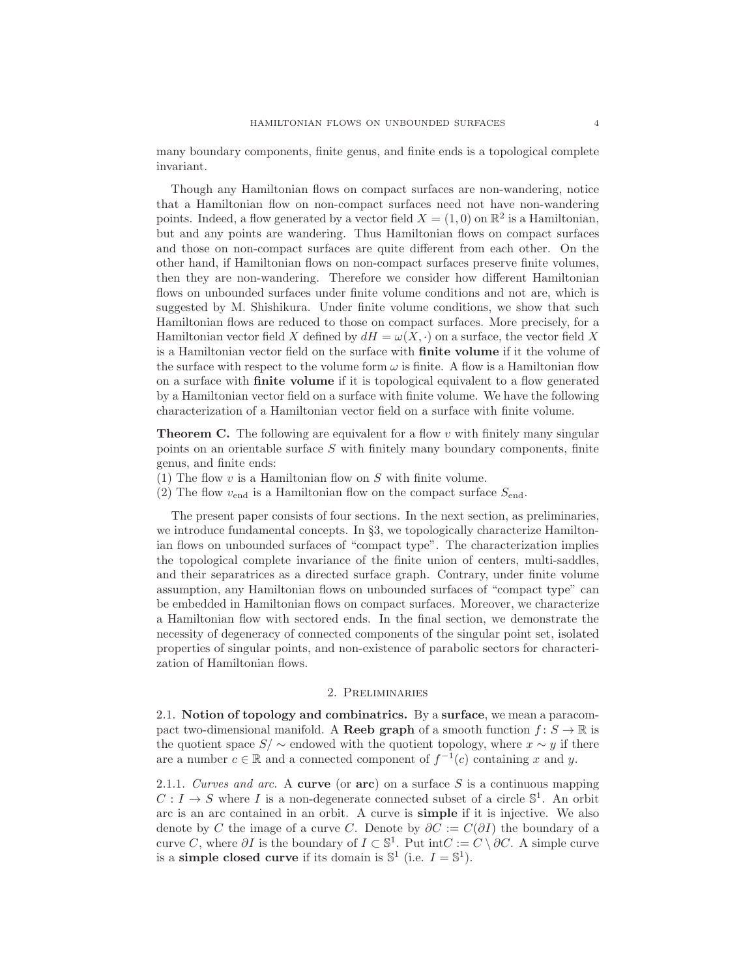many boundary components, finite genus, and finite ends is a topological complete invariant.

Though any Hamiltonian flows on compact surfaces are non-wandering, notice that a Hamiltonian flow on non-compact surfaces need not have non-wandering points. Indeed, a flow generated by a vector field  $X = (1,0)$  on  $\mathbb{R}^2$  is a Hamiltonian, but and any points are wandering. Thus Hamiltonian flows on compact surfaces and those on non-compact surfaces are quite different from each other. On the other hand, if Hamiltonian flows on non-compact surfaces preserve finite volumes, then they are non-wandering. Therefore we consider how different Hamiltonian flows on unbounded surfaces under finite volume conditions and not are, which is suggested by M. Shishikura. Under finite volume conditions, we show that such Hamiltonian flows are reduced to those on compact surfaces. More precisely, for a Hamiltonian vector field X defined by  $dH = \omega(X, \cdot)$  on a surface, the vector field X is a Hamiltonian vector field on the surface with finite volume if it the volume of the surface with respect to the volume form  $\omega$  is finite. A flow is a Hamiltonian flow on a surface with finite volume if it is topological equivalent to a flow generated by a Hamiltonian vector field on a surface with finite volume. We have the following characterization of a Hamiltonian vector field on a surface with finite volume.

<span id="page-3-0"></span>**Theorem C.** The following are equivalent for a flow v with finitely many singular points on an orientable surface S with finitely many boundary components, finite genus, and finite ends:

- (1) The flow  $v$  is a Hamiltonian flow on  $S$  with finite volume.
- (2) The flow  $v_{\text{end}}$  is a Hamiltonian flow on the compact surface  $S_{\text{end}}$ .

The present paper consists of four sections. In the next section, as preliminaries, we introduce fundamental concepts. In §3, we topologically characterize Hamiltonian flows on unbounded surfaces of "compact type". The characterization implies the topological complete invariance of the finite union of centers, multi-saddles, and their separatrices as a directed surface graph. Contrary, under finite volume assumption, any Hamiltonian flows on unbounded surfaces of "compact type" can be embedded in Hamiltonian flows on compact surfaces. Moreover, we characterize a Hamiltonian flow with sectored ends. In the final section, we demonstrate the necessity of degeneracy of connected components of the singular point set, isolated properties of singular points, and non-existence of parabolic sectors for characterization of Hamiltonian flows.

### 2. Preliminaries

2.1. Notion of topology and combinatrics. By a surface, we mean a paracompact two-dimensional manifold. A **Reeb graph** of a smooth function  $f: S \to \mathbb{R}$  is the quotient space  $S/\sim$  endowed with the quotient topology, where  $x \sim y$  if there are a number  $c \in \mathbb{R}$  and a connected component of  $f^{-1}(c)$  containing x and y.

2.1.1. Curves and arc. A curve (or  $arc$ ) on a surface S is a continuous mapping  $C: I \to S$  where I is a non-degenerate connected subset of a circle  $\mathbb{S}^1$ . An orbit arc is an arc contained in an orbit. A curve is simple if it is injective. We also denote by C the image of a curve C. Denote by  $\partial C := C(\partial I)$  the boundary of a curve C, where  $\partial I$  is the boundary of  $I \subset \mathbb{S}^1$ . Put int $C := C \setminus \partial C$ . A simple curve is a simple closed curve if its domain is  $\mathbb{S}^1$  (i.e.  $I = \mathbb{S}^1$ ).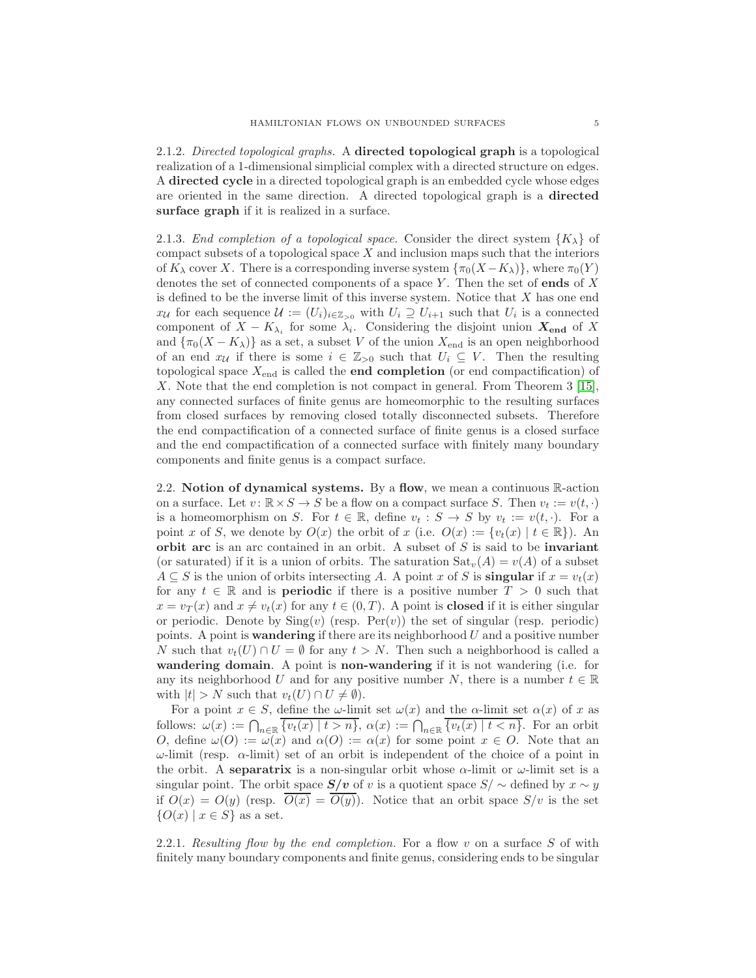2.1.2. Directed topological graphs. A directed topological graph is a topological realization of a 1-dimensional simplicial complex with a directed structure on edges. A directed cycle in a directed topological graph is an embedded cycle whose edges are oriented in the same direction. A directed topological graph is a directed surface graph if it is realized in a surface.

2.1.3. End completion of a topological space. Consider the direct system  ${K_{\lambda}}$  of compact subsets of a topological space  $X$  and inclusion maps such that the interiors of  $K_{\lambda}$  cover X. There is a corresponding inverse system  $\{\pi_0(X-K_{\lambda})\}\$ , where  $\pi_0(Y)$ denotes the set of connected components of a space Y. Then the set of **ends** of X is defined to be the inverse limit of this inverse system. Notice that  $X$  has one end  $x_{\mathcal{U}}$  for each sequence  $\mathcal{U} := (U_i)_{i \in \mathbb{Z}_{>0}}$  with  $U_i \supseteq U_{i+1}$  such that  $U_i$  is a connected component of  $X - K_{\lambda_i}$  for some  $\lambda_i$ . Considering the disjoint union  $X_{end}$  of X and  $\{\pi_0(X - K_\lambda)\}\$ as a set, a subset V of the union  $X_{\text{end}}$  is an open neighborhood of an end  $x_{\mathcal{U}}$  if there is some  $i \in \mathbb{Z}_{>0}$  such that  $U_i \subseteq V$ . Then the resulting topological space  $X_{\text{end}}$  is called the **end completion** (or end compactification) of X. Note that the end completion is not compact in general. From Theorem 3 [\[15\]](#page-16-14), any connected surfaces of finite genus are homeomorphic to the resulting surfaces from closed surfaces by removing closed totally disconnected subsets. Therefore the end compactification of a connected surface of finite genus is a closed surface and the end compactification of a connected surface with finitely many boundary components and finite genus is a compact surface.

2.2. Notion of dynamical systems. By a flow, we mean a continuous  $\mathbb{R}$ -action on a surface. Let  $v: \mathbb{R} \times S \to S$  be a flow on a compact surface S. Then  $v_t := v(t, \cdot)$ is a homeomorphism on S. For  $t \in \mathbb{R}$ , define  $v_t : S \to S$  by  $v_t := v(t, \cdot)$ . For a point x of S, we denote by  $O(x)$  the orbit of x (i.e.  $O(x) := \{v_t(x) | t \in \mathbb{R}\}\)$ . An orbit arc is an arc contained in an orbit. A subset of  $S$  is said to be invariant (or saturated) if it is a union of orbits. The saturation  $\text{Sat}_{v}(A) = v(A)$  of a subset  $A \subseteq S$  is the union of orbits intersecting A. A point x of S is **singular** if  $x = v_t(x)$ for any  $t \in \mathbb{R}$  and is **periodic** if there is a positive number  $T > 0$  such that  $x = v_T(x)$  and  $x \neq v_t(x)$  for any  $t \in (0, T)$ . A point is **closed** if it is either singular or periodic. Denote by  $\text{Sing}(v)$  (resp.  $\text{Per}(v)$ ) the set of singular (resp. periodic) points. A point is **wandering** if there are its neighborhood  $U$  and a positive number N such that  $v_t(U) \cap U = \emptyset$  for any  $t > N$ . Then such a neighborhood is called a wandering domain. A point is non-wandering if it is not wandering (i.e. for any its neighborhood U and for any positive number N, there is a number  $t \in \mathbb{R}$ with  $|t| > N$  such that  $v_t(U) \cap U \neq \emptyset$ .

For a point  $x \in S$ , define the  $\omega$ -limit set  $\omega(x)$  and the  $\alpha$ -limit set  $\alpha(x)$  of x as follows:  $\omega(x) := \bigcap_{n \in \mathbb{R}} \overline{\{v_t(x) \mid t > n\}}, \ \alpha(x) := \bigcap_{n \in \mathbb{R}} \overline{\{v_t(x) \mid t < n\}}.$  For an orbit O, define  $\omega(O) := \omega(x)$  and  $\alpha(O) := \alpha(x)$  for some point  $x \in O$ . Note that an  $ω$ -limit (resp.  $α$ -limit) set of an orbit is independent of the choice of a point in the orbit. A separatrix is a non-singular orbit whose  $\alpha$ -limit or  $\omega$ -limit set is a singular point. The orbit space  $S/v$  of v is a quotient space  $S/\sim$  defined by  $x \sim y$ if  $O(x) = O(y)$  (resp.  $O(x) = O(y)$ ). Notice that an orbit space  $S/v$  is the set  ${O(x) | x \in S}$  as a set.

2.2.1. Resulting flow by the end completion. For a flow v on a surface S of with finitely many boundary components and finite genus, considering ends to be singular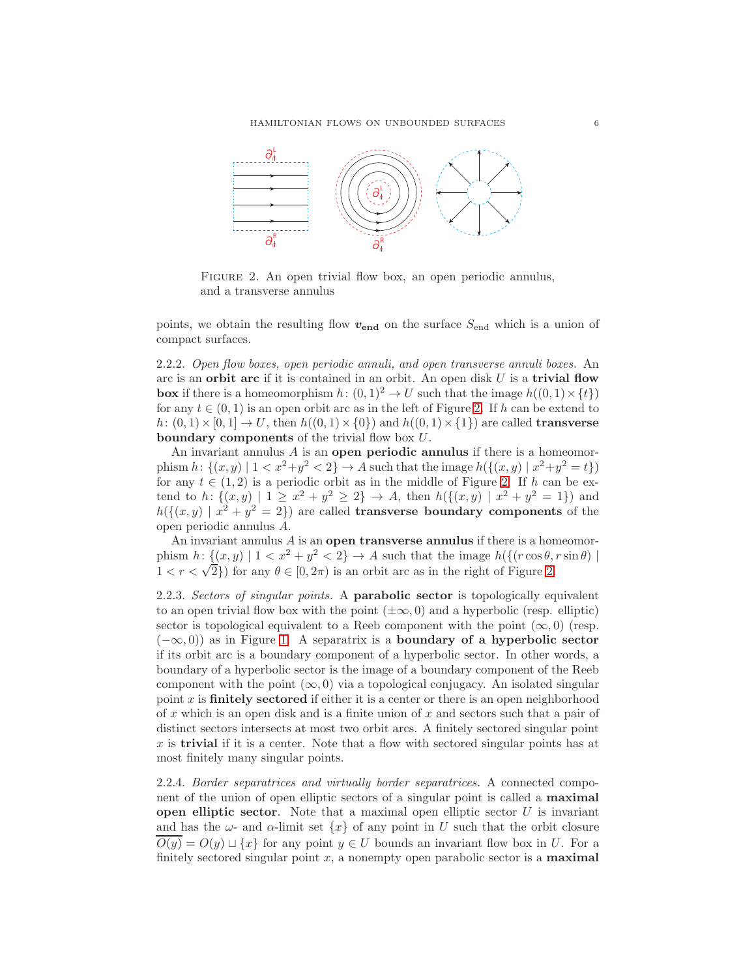HAMILTONIAN FLOWS ON UNBOUNDED SURFACES 6



<span id="page-5-0"></span>FIGURE 2. An open trivial flow box, an open periodic annulus, and a transverse annulus

points, we obtain the resulting flow  $v_{\text{end}}$  on the surface  $S_{\text{end}}$  which is a union of compact surfaces.

2.2.2. Open flow boxes, open periodic annuli, and open transverse annuli boxes. An arc is an orbit arc if it is contained in an orbit. An open disk  $U$  is a trivial flow **box** if there is a homeomorphism  $h: (0, 1)^2 \to U$  such that the image  $h((0, 1) \times \{t\})$ for any  $t \in (0, 1)$  is an open orbit arc as in the left of Figure [2.](#page-5-0) If h can be extend to  $h: (0,1) \times [0,1] \rightarrow U$ , then  $h((0,1) \times \{0\})$  and  $h((0,1) \times \{1\})$  are called **transverse** boundary components of the trivial flow box U.

An invariant annulus  $\vec{A}$  is an open periodic annulus if there is a homeomorphism  $h: \{(x, y) | 1 < x^2+y^2 < 2\} \to A$  such that the image  $h(\{(x, y) | x^2+y^2=t\})$ for any  $t \in (1, 2)$  is a periodic orbit as in the middle of Figure [2.](#page-5-0) If h can be extend to h:  $\{(x,y) | 1 \ge x^2 + y^2 \ge 2\} \rightarrow A$ , then  $h(\{(x,y) | x^2 + y^2 = 1\})$  and  $h({(x,y) | x^2 + y^2 = 2})$  are called **transverse boundary components** of the open periodic annulus A.

An invariant annulus  $A$  is an open transverse annulus if there is a homeomorphism  $h: \{(x, y) \mid 1 < x^2 + y^2 < 2\} \rightarrow A$  such that the image  $h(\{(r \cos \theta, r \sin \theta) \mid$  $1 < r < \sqrt{2}$ ) for any  $\theta \in [0, 2\pi)$  is an orbit arc as in the right of Figure [2.](#page-5-0)

2.2.3. Sectors of singular points. A **parabolic sector** is topologically equivalent to an open trivial flow box with the point  $(\pm \infty, 0)$  and a hyperbolic (resp. elliptic) sector is topological equivalent to a Reeb component with the point  $(\infty, 0)$  (resp.  $(-\infty, 0)$  as in Figure [1.](#page-1-0) A separatrix is a boundary of a hyperbolic sector if its orbit arc is a boundary component of a hyperbolic sector. In other words, a boundary of a hyperbolic sector is the image of a boundary component of the Reeb component with the point  $(\infty, 0)$  via a topological conjugacy. An isolated singular point  $x$  is **finitely sectored** if either it is a center or there is an open neighborhood of  $x$  which is an open disk and is a finite union of  $x$  and sectors such that a pair of distinct sectors intersects at most two orbit arcs. A finitely sectored singular point x is **trivial** if it is a center. Note that a flow with sectored singular points has at most finitely many singular points.

2.2.4. Border separatrices and virtually border separatrices. A connected component of the union of open elliptic sectors of a singular point is called a maximal **open elliptic sector.** Note that a maximal open elliptic sector  $U$  is invariant and has the  $\omega$ - and  $\alpha$ -limit set  $\{x\}$  of any point in U such that the orbit closure  $\overline{O(y)} = O(y) \sqcup \{x\}$  for any point  $y \in U$  bounds an invariant flow box in U. For a finitely sectored singular point  $x$ , a nonempty open parabolic sector is a **maximal**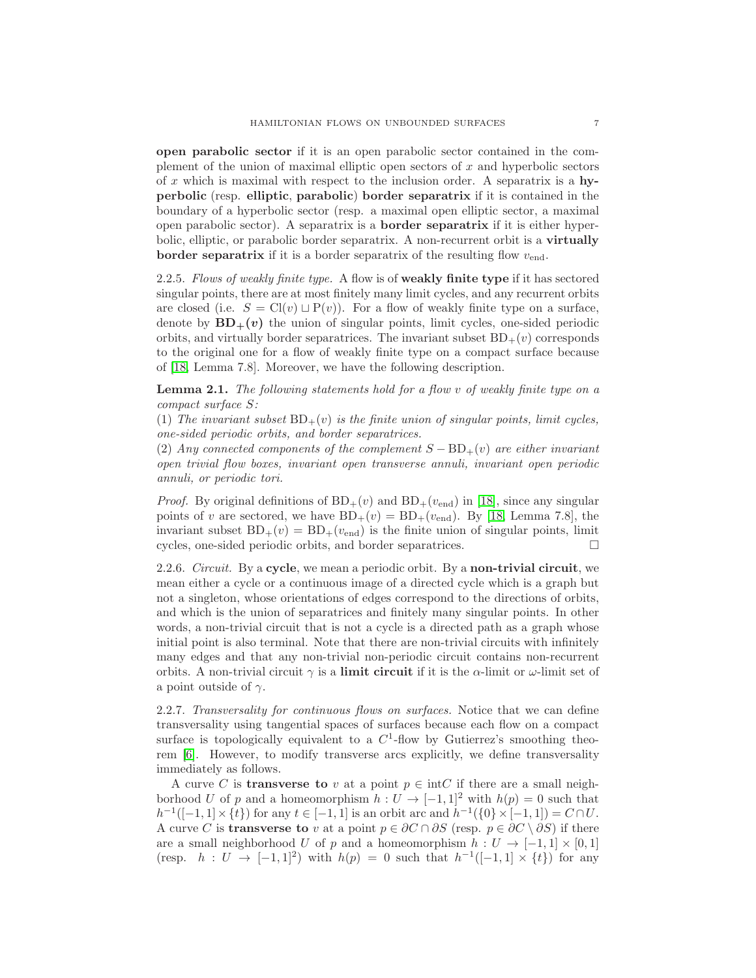open parabolic sector if it is an open parabolic sector contained in the complement of the union of maximal elliptic open sectors of  $x$  and hyperbolic sectors of x which is maximal with respect to the inclusion order. A separatrix is a hyperbolic (resp. elliptic, parabolic) border separatrix if it is contained in the boundary of a hyperbolic sector (resp. a maximal open elliptic sector, a maximal open parabolic sector). A separatrix is a border separatrix if it is either hyperbolic, elliptic, or parabolic border separatrix. A non-recurrent orbit is a virtually **border separatrix** if it is a border separatrix of the resulting flow  $v_{end}$ .

2.2.5. Flows of weakly finite type. A flow is of weakly finite type if it has sectored singular points, there are at most finitely many limit cycles, and any recurrent orbits are closed (i.e.  $S = Cl(v) \sqcup P(v)$ ). For a flow of weakly finite type on a surface, denote by  $BD_+(v)$  the union of singular points, limit cycles, one-sided periodic orbits, and virtually border separatrices. The invariant subset  $BD_{+}(v)$  corresponds to the original one for a flow of weakly finite type on a compact surface because of [\[18,](#page-16-15) Lemma 7.8]. Moreover, we have the following description.

<span id="page-6-0"></span>**Lemma 2.1.** The following statements hold for a flow v of weakly finite type on a compact surface S:

(1) The invariant subset  $BD_+(v)$  is the finite union of singular points, limit cycles, one-sided periodic orbits, and border separatrices.

(2) Any connected components of the complement  $S - BD_+(v)$  are either invariant open trivial flow boxes, invariant open transverse annuli, invariant open periodic annuli, or periodic tori.

*Proof.* By original definitions of  $BD_+(v)$  and  $BD_+(v_{end})$  in [\[18\]](#page-16-15), since any singular points of v are sectored, we have  $BD_+(v) = BD_+(v_{end})$ . By [\[18,](#page-16-15) Lemma 7.8], the invariant subset  $BD_+(v) = BD_+(v_{end})$  is the finite union of singular points, limit cycles, one-sided periodic orbits, and border separatrices.

2.2.6. Circuit. By a cycle, we mean a periodic orbit. By a non-trivial circuit, we mean either a cycle or a continuous image of a directed cycle which is a graph but not a singleton, whose orientations of edges correspond to the directions of orbits, and which is the union of separatrices and finitely many singular points. In other words, a non-trivial circuit that is not a cycle is a directed path as a graph whose initial point is also terminal. Note that there are non-trivial circuits with infinitely many edges and that any non-trivial non-periodic circuit contains non-recurrent orbits. A non-trivial circuit  $\gamma$  is a limit circuit if it is the  $\alpha$ -limit or  $\omega$ -limit set of a point outside of  $\gamma$ .

2.2.7. Transversality for continuous flows on surfaces. Notice that we can define transversality using tangential spaces of surfaces because each flow on a compact surface is topologically equivalent to a  $C^1$ -flow by Gutierrez's smoothing theorem [\[6\]](#page-16-16). However, to modify transverse arcs explicitly, we define transversality immediately as follows.

A curve C is **transverse to** v at a point  $p \in \text{intC}$  if there are a small neighborhood U of p and a homeomorphism  $h: U \to [-1,1]^2$  with  $h(p) = 0$  such that  $h^{-1}([-1, 1] \times \{t\})$  for any  $t \in [-1, 1]$  is an orbit arc and  $h^{-1}(\{0\} \times [-1, 1]) = C \cap U$ . A curve C is **transverse to** v at a point  $p \in \partial C \cap \partial S$  (resp.  $p \in \partial C \setminus \partial S$ ) if there are a small neighborhood U of p and a homeomorphism  $h: U \to [-1,1] \times [0,1]$ (resp.  $h: U \to [-1,1]^2$ ) with  $h(p) = 0$  such that  $h^{-1}([-1,1] \times \{t\})$  for any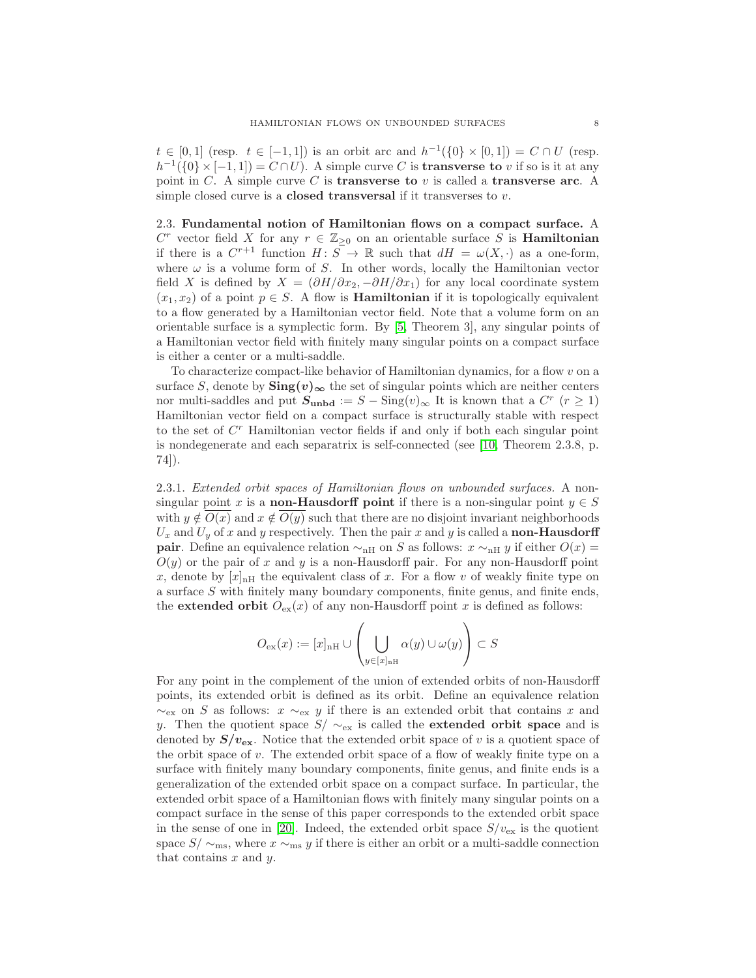$t \in [0,1]$  (resp.  $t \in [-1,1]$ ) is an orbit arc and  $h^{-1}(\{0\} \times [0,1]) = C \cap U$  (resp.  $h^{-1}(\{0\} \times [-1,1]) = C \cap U$ . A simple curve C is **transverse to** v if so is it at any point in C. A simple curve C is **transverse to**  $v$  is called a **transverse arc.** A simple closed curve is a **closed transversal** if it transverses to  $v$ .

2.3. Fundamental notion of Hamiltonian flows on a compact surface. A  $C^r$  vector field X for any  $r \in \mathbb{Z}_{\geq 0}$  on an orientable surface S is **Hamiltonian** if there is a  $C^{r+1}$  function  $H: S \to \mathbb{R}$  such that  $dH = \omega(X, \cdot)$  as a one-form, where  $\omega$  is a volume form of S. In other words, locally the Hamiltonian vector field X is defined by  $X = (\partial H/\partial x_2, -\partial H/\partial x_1)$  for any local coordinate system  $(x_1, x_2)$  of a point  $p \in S$ . A flow is **Hamiltonian** if it is topologically equivalent to a flow generated by a Hamiltonian vector field. Note that a volume form on an orientable surface is a symplectic form. By [\[5,](#page-16-13) Theorem 3], any singular points of a Hamiltonian vector field with finitely many singular points on a compact surface is either a center or a multi-saddle.

To characterize compact-like behavior of Hamiltonian dynamics, for a flow  $v$  on a surface S, denote by  $\text{Sing}(v)_{\infty}$  the set of singular points which are neither centers nor multi-saddles and put  $S_{\text{unbd}} := S - \text{Sing}(v)_{\infty}$  It is known that a  $C^r$   $(r \ge 1)$ Hamiltonian vector field on a compact surface is structurally stable with respect to the set of  $C<sup>r</sup>$  Hamiltonian vector fields if and only if both each singular point is nondegenerate and each separatrix is self-connected (see [\[10,](#page-16-8) Theorem 2.3.8, p. 74]).

2.3.1. Extended orbit spaces of Hamiltonian flows on unbounded surfaces. A nonsingular point x is a **non-Hausdorff point** if there is a non-singular point  $y \in S$ with  $y \notin O(x)$  and  $x \notin O(y)$  such that there are no disjoint invariant neighborhoods  $U_x$  and  $U_y$  of x and y respectively. Then the pair x and y is called a non-Hausdorff **pair**. Define an equivalence relation  $\sim_{n}$  on S as follows:  $x \sim_{n} y$  if either  $O(x) =$  $O(y)$  or the pair of x and y is a non-Hausdorff pair. For any non-Hausdorff point x, denote by  $[x]_{n}$  the equivalent class of x. For a flow v of weakly finite type on a surface S with finitely many boundary components, finite genus, and finite ends, the extended orbit  $O_{\text{ex}}(x)$  of any non-Hausdorff point x is defined as follows:

$$
O_{\mathrm{ex}}(x):=[x]_{\mathrm{nH}}\cup\left(\bigcup_{y\in [x]_{\mathrm{nH}}}\alpha(y)\cup \omega(y)\right)\subset S
$$

For any point in the complement of the union of extended orbits of non-Hausdorff points, its extended orbit is defined as its orbit. Define an equivalence relation  $\sim_{\text{ex}}$  on S as follows:  $x \sim_{\text{ex}} y$  if there is an extended orbit that contains x and y. Then the quotient space  $S/\sim_{\text{ex}}$  is called the **extended orbit space** and is denoted by  $S/v_{\text{ex}}$ . Notice that the extended orbit space of v is a quotient space of the orbit space of v. The extended orbit space of a flow of weakly finite type on a surface with finitely many boundary components, finite genus, and finite ends is a generalization of the extended orbit space on a compact surface. In particular, the extended orbit space of a Hamiltonian flows with finitely many singular points on a compact surface in the sense of this paper corresponds to the extended orbit space in the sense of one in [\[20\]](#page-17-2). Indeed, the extended orbit space  $S/v_{\text{ex}}$  is the quotient space  $S/\sim_{\text{ms}}$ , where  $x \sim_{\text{ms}} y$  if there is either an orbit or a multi-saddle connection that contains  $x$  and  $y$ .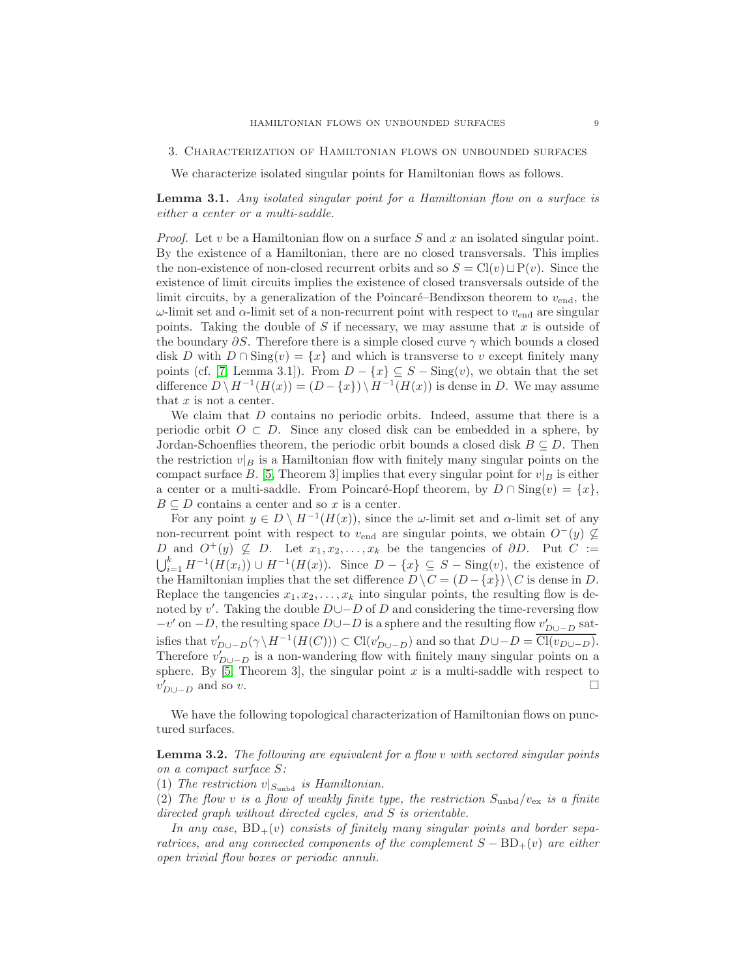We characterize isolated singular points for Hamiltonian flows as follows.

<span id="page-8-0"></span>Lemma 3.1. Any isolated singular point for a Hamiltonian flow on a surface is either a center or a multi-saddle.

*Proof.* Let  $v$  be a Hamiltonian flow on a surface  $S$  and  $x$  an isolated singular point. By the existence of a Hamiltonian, there are no closed transversals. This implies the non-existence of non-closed recurrent orbits and so  $S = Cl(v) \sqcup P(v)$ . Since the existence of limit circuits implies the existence of closed transversals outside of the limit circuits, by a generalization of the Poincaré–Bendixson theorem to  $v_{end}$ , the  $ω$ -limit set and  $α$ -limit set of a non-recurrent point with respect to  $v_{end}$  are singular points. Taking the double of  $S$  if necessary, we may assume that  $x$  is outside of the boundary  $\partial S$ . Therefore there is a simple closed curve  $\gamma$  which bounds a closed disk D with  $D \cap \text{Sing}(v) = \{x\}$  and which is transverse to v except finitely many points (cf. [\[7,](#page-16-12) Lemma 3.1]). From  $D - \{x\} \subseteq S - \text{Sing}(v)$ , we obtain that the set difference  $D \setminus H^{-1}(H(x)) = (D - \{x\}) \setminus H^{-1}(H(x))$  is dense in D. We may assume that  $x$  is not a center.

We claim that  $D$  contains no periodic orbits. Indeed, assume that there is a periodic orbit  $O \subset D$ . Since any closed disk can be embedded in a sphere, by Jordan-Schoenflies theorem, the periodic orbit bounds a closed disk  $B \subseteq D$ . Then the restriction  $v|_B$  is a Hamiltonian flow with finitely many singular points on the compact surface B. [\[5,](#page-16-13) Theorem 3] implies that every singular point for  $v|_B$  is either a center or a multi-saddle. From Poincaré-Hopf theorem, by  $D \cap \text{Sing}(v) = \{x\}$ ,  $B \subseteq D$  contains a center and so x is a center.

For any point  $y \in D \setminus H^{-1}(H(x))$ , since the  $\omega$ -limit set and  $\alpha$ -limit set of any non-recurrent point with respect to  $v_{\text{end}}$  are singular points, we obtain  $O^-(y) \not\subseteq$ D and  $O^+(y) \nsubseteq D$ . Let  $x_1, x_2, \ldots, x_k$  be the tangencies of  $\partial D$ . Put  $C :=$  $\sum_{i=1}^k H^{-1}(H(x_i)) \cup H^{-1}(H(x)).$  Since  $D - \{x\} \subseteq S - \text{Sing}(v)$ , the existence of the Hamiltonian implies that the set difference  $D \setminus C = (D - \{x\}) \setminus C$  is dense in D. Replace the tangencies  $x_1, x_2, \ldots, x_k$  into singular points, the resulting flow is denoted by v'. Taking the double  $D \cup -D$  of D and considering the time-reversing flow  $-v'$  on  $-D$ , the resulting space  $D\cup -D$  is a sphere and the resulting flow  $v'_{D\cup -D}$  satisfies that  $v'_{D\cup -D}(\gamma \setminus H^{-1}(H(C))) \subset \mathrm{Cl}(v'_{D\cup -D})$  and so that  $D\cup -D = \mathrm{Cl}(v_{D\cup -D})$ . Therefore  $v'_{D\cup -D}$  is a non-wandering flow with finitely many singular points on a sphere. By  $[5,$  Theorem 3, the singular point x is a multi-saddle with respect to  $v'_{D\cup -D}$  and so v.

We have the following topological characterization of Hamiltonian flows on punctured surfaces.

<span id="page-8-1"></span>**Lemma 3.2.** The following are equivalent for a flow  $v$  with sectored singular points on a compact surface S:

(1) The restriction  $v|_{S_{\text{unbd}}}$  is Hamiltonian.

(2) The flow v is a flow of weakly finite type, the restriction  $S_{\text{unbd}}/v_{\text{ex}}$  is a finite directed graph without directed cycles, and S is orientable.

In any case,  $BD_+(v)$  consists of finitely many singular points and border separatrices, and any connected components of the complement  $S - BD_+(v)$  are either open trivial flow boxes or periodic annuli.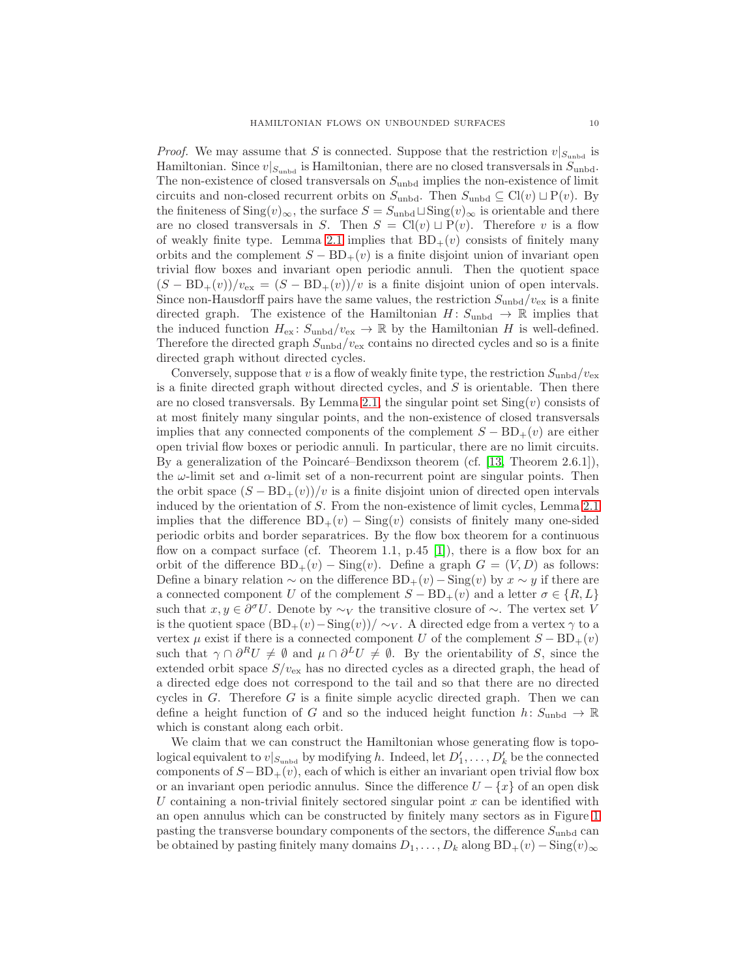*Proof.* We may assume that S is connected. Suppose that the restriction  $v|_{S_{\text{unbd}}}$  is Hamiltonian. Since  $v|_{S_{\text{unbd}}}$  is Hamiltonian, there are no closed transversals in  $S_{\text{unbd}}$ . The non-existence of closed transversals on  $S_{\text{unbd}}$  implies the non-existence of limit circuits and non-closed recurrent orbits on  $S_{\text{unbd}}$ . Then  $S_{\text{unbd}} \subseteq Cl(v) \sqcup P(v)$ . By the finiteness of Sing $(v)_{\infty}$ , the surface  $S = S_{\text{unbd}} \sqcup \text{Sing}(v)_{\infty}$  is orientable and there are no closed transversals in S. Then  $S = Cl(v) \sqcup P(v)$ . Therefore v is a flow of weakly finite type. Lemma [2.1](#page-6-0) implies that  $BD_+(v)$  consists of finitely many orbits and the complement  $S - BD_+(v)$  is a finite disjoint union of invariant open trivial flow boxes and invariant open periodic annuli. Then the quotient space  $(S - BD<sub>+</sub>(v))/v<sub>ex</sub> = (S - BD<sub>+</sub>(v))/v$  is a finite disjoint union of open intervals. Since non-Hausdorff pairs have the same values, the restriction  $S_{\text{unbd}}/v_{\text{ex}}$  is a finite directed graph. The existence of the Hamiltonian  $H: S_{\text{unbd}} \to \mathbb{R}$  implies that the induced function  $H_{\text{ex}}$ :  $S_{\text{unbd}}/v_{\text{ex}} \to \mathbb{R}$  by the Hamiltonian H is well-defined. Therefore the directed graph  $S_{\text{unbd}}/v_{\text{ex}}$  contains no directed cycles and so is a finite directed graph without directed cycles.

Conversely, suppose that v is a flow of weakly finite type, the restriction  $S_{\text{unbd}}/v_{\text{ex}}$ is a finite directed graph without directed cycles, and  $S$  is orientable. Then there are no closed transversals. By Lemma [2.1,](#page-6-0) the singular point set  $\text{Sing}(v)$  consists of at most finitely many singular points, and the non-existence of closed transversals implies that any connected components of the complement  $S - BD_+(v)$  are either open trivial flow boxes or periodic annuli. In particular, there are no limit circuits. By a generalization of the Poincaré–Bendixson theorem (cf.  $[13,$  Theorem 2.6.1]), the  $\omega$ -limit set and  $\alpha$ -limit set of a non-recurrent point are singular points. Then the orbit space  $(S - BD_+(v))/v$  is a finite disjoint union of directed open intervals induced by the orientation of S. From the non-existence of limit cycles, Lemma [2.1](#page-6-0) implies that the difference  $BD_+(v) - Sing(v)$  consists of finitely many one-sided periodic orbits and border separatrices. By the flow box theorem for a continuous flow on a compact surface (cf. Theorem 1.1, p.45 [\[1\]](#page-16-18)), there is a flow box for an orbit of the difference  $BD_+(v)$  – Sing(v). Define a graph  $G = (V, D)$  as follows: Define a binary relation  $\sim$  on the difference BD<sub>+</sub>(v) − Sing(v) by  $x \sim y$  if there are a connected component U of the complement  $S - BD_+(v)$  and a letter  $\sigma \in \{R, L\}$ such that  $x, y \in \partial^{\sigma} U$ . Denote by ∼ $_V$  the transitive closure of ∼. The vertex set V is the quotient space  $(BD_{+}(v)-\text{Sing}(v))/\sim_V$ . A directed edge from a vertex  $\gamma$  to a vertex  $\mu$  exist if there is a connected component U of the complement  $S - BD_+(v)$ such that  $\gamma \cap \partial^R U \neq \emptyset$  and  $\mu \cap \partial^L U \neq \emptyset$ . By the orientability of S, since the extended orbit space  $S/v_{\rm ex}$  has no directed cycles as a directed graph, the head of a directed edge does not correspond to the tail and so that there are no directed cycles in  $G$ . Therefore  $G$  is a finite simple acyclic directed graph. Then we can define a height function of G and so the induced height function  $h: S_{\text{unbd}} \to \mathbb{R}$ which is constant along each orbit.

We claim that we can construct the Hamiltonian whose generating flow is topological equivalent to  $v|_{S_{\text{unbd}}}$  by modifying h. Indeed, let  $D'_1, \ldots, D'_k$  be the connected components of  $S-\text{BD}_+(v)$ , each of which is either an invariant open trivial flow box or an invariant open periodic annulus. Since the difference  $U - \{x\}$  of an open disk U containing a non-trivial finitely sectored singular point  $x$  can be identified with an open annulus which can be constructed by finitely many sectors as in Figure [1](#page-1-0) pasting the transverse boundary components of the sectors, the difference  $S_{\text{unbd}}$  can be obtained by pasting finitely many domains  $D_1, \ldots, D_k$  along  $BD_+(v) - Sing(v)_{\infty}$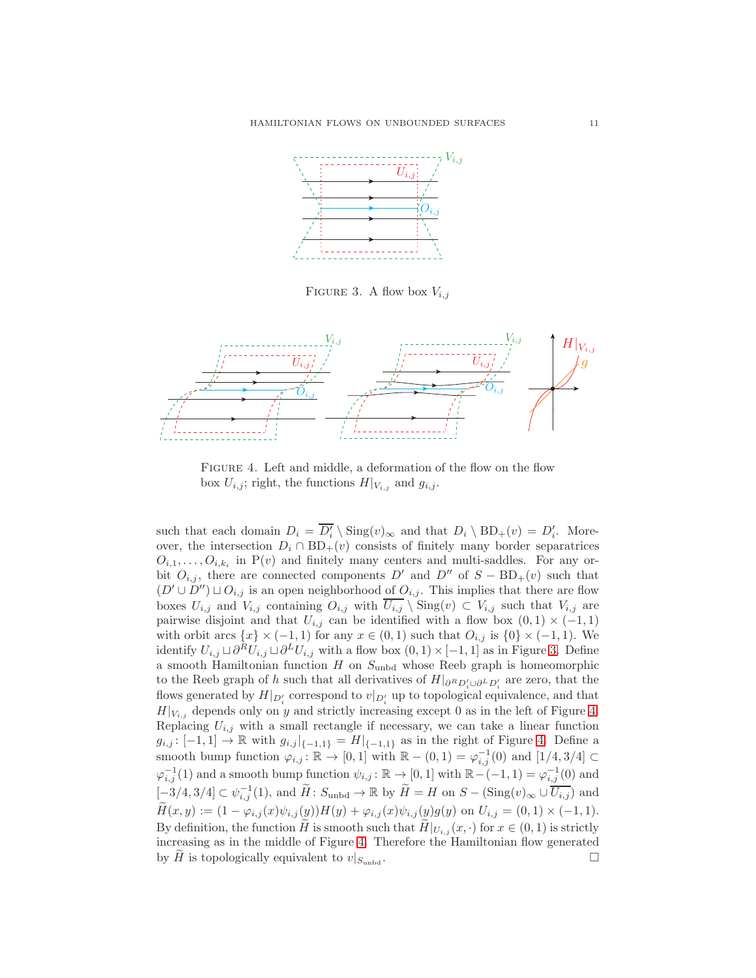

<span id="page-10-0"></span>FIGURE 3. A flow box  $V_{i,j}$ 



<span id="page-10-1"></span>Figure 4. Left and middle, a deformation of the flow on the flow box  $U_{i,j}$ ; right, the functions  $H|_{V_{i,j}}$  and  $g_{i,j}$ .

such that each domain  $D_i = \overline{D'_i} \setminus \text{Sing}(v)_{\infty}$  and that  $D_i \setminus \text{BD}_+(v) = D'_i$ . Moreover, the intersection  $D_i \cap BD_+(v)$  consists of finitely many border separatrices  $O_{i,1}, \ldots, O_{i,k_i}$  in  $P(v)$  and finitely many centers and multi-saddles. For any orbit  $O_{i,j}$ , there are connected components D' and D'' of  $S - BD_{+}(v)$  such that  $(D' \cup D'') \sqcup O_{i,j}$  is an open neighborhood of  $O_{i,j}$ . This implies that there are flow boxes  $U_{i,j}$  and  $V_{i,j}$  containing  $O_{i,j}$  with  $\overline{U_{i,j}} \setminus \text{Sing}(v) \subset V_{i,j}$  such that  $V_{i,j}$  are pairwise disjoint and that  $U_{i,j}$  can be identified with a flow box  $(0,1) \times (-1,1)$ with orbit arcs  $\{x\} \times (-1,1)$  for any  $x \in (0,1)$  such that  $O_{i,j}$  is  $\{0\} \times (-1,1)$ . We identify  $U_{i,j} \sqcup \partial^R U_{i,j} \sqcup \partial^L U_{i,j}$  with a flow box  $(0,1) \times [-1,1]$  as in Figure [3.](#page-10-0) Define a smooth Hamiltonian function  $H$  on  $S_{\text{unbd}}$  whose Reeb graph is homeomorphic to the Reeb graph of h such that all derivatives of  $H|_{\partial^R D_i' \cup \partial^L D_i'}$  are zero, that the flows generated by  $H|_{D'_i}$  correspond to  $v|_{D'_i}$  up to topological equivalence, and that  $H|_{V_{i,j}}$  depends only on y and strictly increasing except 0 as in the left of Figure [4.](#page-10-1) Replacing  $U_{i,j}$  with a small rectangle if necessary, we can take a linear function  $g_{i,j}: [-1,1] \to \mathbb{R}$  with  $g_{i,j}|_{\{-1,1\}} = H|_{\{-1,1\}}$  as in the right of Figure [4.](#page-10-1) Define a smooth bump function  $\varphi_{i,j} : \mathbb{R} \to [0,1]$  with  $\mathbb{R} - (0,1) = \varphi_{i,j}^{-1}(0)$  and  $[1/4,3/4] \subset$  $\varphi_{i,j}^{-1}(1)$  and a smooth bump function  $\psi_{i,j} : \mathbb{R} \to [0,1]$  with  $\mathbb{R}-(-1,1) = \varphi_{i,j}^{-1}(0)$  and  $[-3/4, 3/4] \subset \psi_{i,j}^{-1}(1)$ , and  $\widetilde{H}: S_{\text{unbd}} \to \mathbb{R}$  by  $\widetilde{H} = H$  on  $S - (\text{Sing}(v)_{\infty} \cup \overline{U_{i,j}})$  and  $H(x,y) := (1 - \varphi_{i,j}(x)\psi_{i,j}(y))H(y) + \varphi_{i,j}(x)\psi_{i,j}(y)g(y)$  on  $U_{i,j} = (0,1) \times (-1,1)$ . By definition, the function  $\widetilde{H}$  is smooth such that  $H|_{U_{i,j}}(x, \cdot)$  for  $x \in (0,1)$  is strictly increasing as in the middle of Figure [4.](#page-10-1) Therefore the Hamiltonian flow generated by H is topologically equivalent to  $v|_{S_{\text{unbd}}}$ .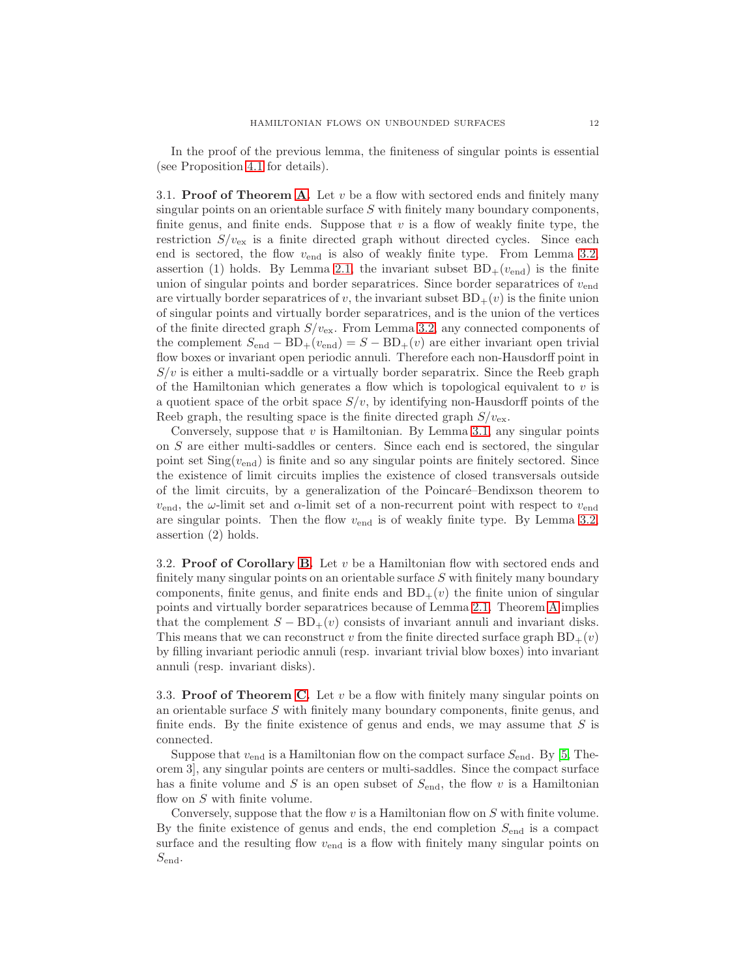In the proof of the previous lemma, the finiteness of singular points is essential (see Proposition [4.1](#page-15-0) for details).

3.1. **Proof of Theorem [A.](#page-2-0)** Let  $v$  be a flow with sectored ends and finitely many singular points on an orientable surface S with finitely many boundary components, finite genus, and finite ends. Suppose that  $v$  is a flow of weakly finite type, the restriction  $S/v_{\text{ex}}$  is a finite directed graph without directed cycles. Since each end is sectored, the flow  $v_{\text{end}}$  is also of weakly finite type. From Lemma [3.2,](#page-8-1) assertion (1) holds. By Lemma [2.1,](#page-6-0) the invariant subset  $BD_+(v_{end})$  is the finite union of singular points and border separatrices. Since border separatrices of  $v_{\text{end}}$ are virtually border separatrices of v, the invariant subset  $BD_+(v)$  is the finite union of singular points and virtually border separatrices, and is the union of the vertices of the finite directed graph  $S/v_{\text{ex}}$ . From Lemma [3.2,](#page-8-1) any connected components of the complement  $S_{end} - BD_+(v_{end}) = S - BD_+(v)$  are either invariant open trivial flow boxes or invariant open periodic annuli. Therefore each non-Hausdorff point in  $S/v$  is either a multi-saddle or a virtually border separatrix. Since the Reeb graph of the Hamiltonian which generates a flow which is topological equivalent to  $v$  is a quotient space of the orbit space  $S/v$ , by identifying non-Hausdorff points of the Reeb graph, the resulting space is the finite directed graph  $S/v_{\text{ex}}$ .

Conversely, suppose that  $v$  is Hamiltonian. By Lemma [3.1,](#page-8-0) any singular points on S are either multi-saddles or centers. Since each end is sectored, the singular point set  $\text{Sing}(v_{\text{end}})$  is finite and so any singular points are finitely sectored. Since the existence of limit circuits implies the existence of closed transversals outside of the limit circuits, by a generalization of the Poincaré–Bendixson theorem to  $v_{\text{end}}$ , the  $\omega$ -limit set and  $\alpha$ -limit set of a non-recurrent point with respect to  $v_{\text{end}}$ are singular points. Then the flow  $v_{\text{end}}$  is of weakly finite type. By Lemma [3.2,](#page-8-1) assertion (2) holds.

3.2. **Proof of Corollary [B.](#page-2-1)** Let  $v$  be a Hamiltonian flow with sectored ends and finitely many singular points on an orientable surface  $S$  with finitely many boundary components, finite genus, and finite ends and  $BD_{+}(v)$  the finite union of singular points and virtually border separatrices because of Lemma [2.1.](#page-6-0) Theorem [A](#page-2-0) implies that the complement  $S - BD_+(v)$  consists of invariant annuli and invariant disks. This means that we can reconstruct v from the finite directed surface graph  $BD_+(v)$ by filling invariant periodic annuli (resp. invariant trivial blow boxes) into invariant annuli (resp. invariant disks).

3.3. **Proof of Theorem [C.](#page-3-0)** Let  $v$  be a flow with finitely many singular points on an orientable surface S with finitely many boundary components, finite genus, and finite ends. By the finite existence of genus and ends, we may assume that  $S$  is connected.

Suppose that  $v_{\text{end}}$  is a Hamiltonian flow on the compact surface  $S_{\text{end}}$ . By [\[5,](#page-16-13) Theorem 3], any singular points are centers or multi-saddles. Since the compact surface has a finite volume and S is an open subset of  $S_{\text{end}}$ , the flow v is a Hamiltonian flow on S with finite volume.

Conversely, suppose that the flow  $v$  is a Hamiltonian flow on  $S$  with finite volume. By the finite existence of genus and ends, the end completion  $S_{\text{end}}$  is a compact surface and the resulting flow  $v_{\text{end}}$  is a flow with finitely many singular points on  $S_{\text{end}}$ .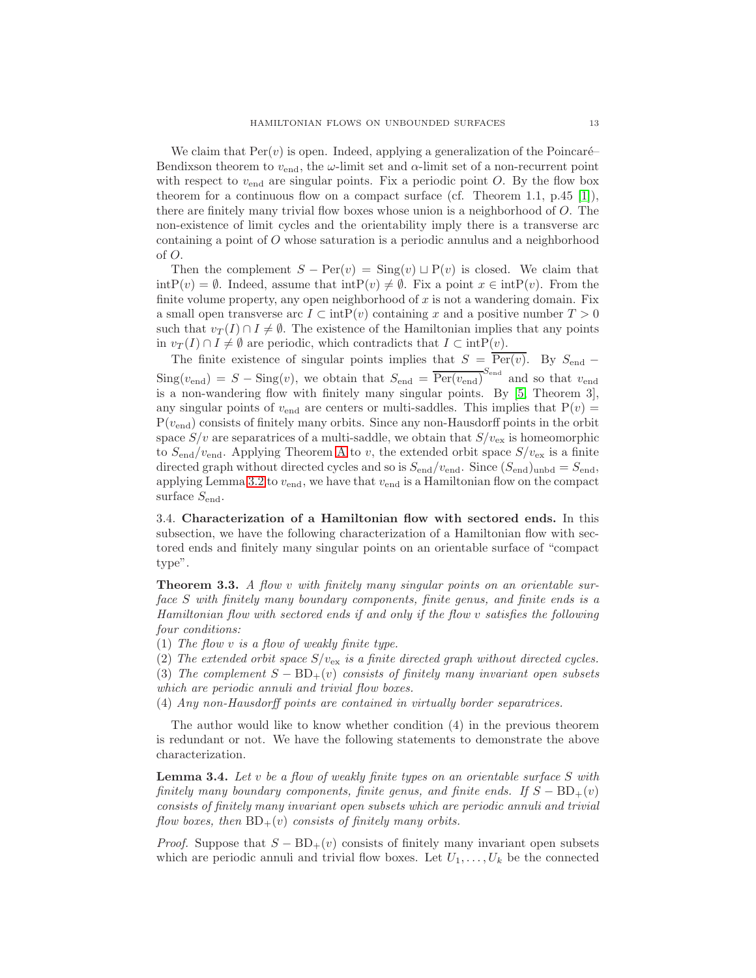We claim that  $\text{Per}(v)$  is open. Indeed, applying a generalization of the Poincaré– Bendixson theorem to  $v_{\text{end}}$ , the  $\omega$ -limit set and  $\alpha$ -limit set of a non-recurrent point with respect to  $v_{\text{end}}$  are singular points. Fix a periodic point O. By the flow box theorem for a continuous flow on a compact surface (cf. Theorem 1.1, p.45 [\[1\]](#page-16-18)), there are finitely many trivial flow boxes whose union is a neighborhood of O. The non-existence of limit cycles and the orientability imply there is a transverse arc containing a point of O whose saturation is a periodic annulus and a neighborhood of O.

Then the complement  $S - \text{Per}(v) = \text{Sing}(v) \sqcup \text{P}(v)$  is closed. We claim that  $\text{intP}(v) = \emptyset$ . Indeed, assume that  $\text{intP}(v) \neq \emptyset$ . Fix a point  $x \in \text{intP}(v)$ . From the finite volume property, any open neighborhood of  $x$  is not a wandering domain. Fix a small open transverse arc  $I \subset \text{intP}(v)$  containing x and a positive number  $T > 0$ such that  $v_T(I) \cap I \neq \emptyset$ . The existence of the Hamiltonian implies that any points in  $v_T(I) \cap I \neq \emptyset$  are periodic, which contradicts that  $I \subset \text{intP}(v)$ .

The finite existence of singular points implies that  $S = \text{Per}(v)$ . By  $S_{\text{end}} \text{Sing}(v_{\text{end}}) = S - \text{Sing}(v)$ , we obtain that  $S_{\text{end}} = \overline{\text{Per}(v_{\text{end}})}^{S_{\text{end}}}$  and so that  $v_{\text{end}}$ is a non-wandering flow with finitely many singular points. By [\[5,](#page-16-13) Theorem 3], any singular points of  $v_{\text{end}}$  are centers or multi-saddles. This implies that  $P(v)$  =  $P(v_{\text{end}})$  consists of finitely many orbits. Since any non-Hausdorff points in the orbit space  $S/v$  are separatrices of a multi-saddle, we obtain that  $S/v_{\text{ex}}$  is homeomorphic to  $S_{\text{end}}/v_{\text{end}}$ . [A](#page-2-0)pplying Theorem A to v, the extended orbit space  $S/v_{\text{ex}}$  is a finite directed graph without directed cycles and so is  $S_{\text{end}}/v_{\text{end}}$ . Since  $(S_{\text{end}})_{\text{unbd}} = S_{\text{end}}$ , applying Lemma [3.2](#page-8-1) to  $v_{\text{end}}$ , we have that  $v_{\text{end}}$  is a Hamiltonian flow on the compact surface  $S_{\text{end}}$ .

3.4. Characterization of a Hamiltonian flow with sectored ends. In this subsection, we have the following characterization of a Hamiltonian flow with sectored ends and finitely many singular points on an orientable surface of "compact type".

<span id="page-12-0"></span>**Theorem 3.3.** A flow v with finitely many singular points on an orientable surface S with finitely many boundary components, finite genus, and finite ends is a Hamiltonian flow with sectored ends if and only if the flow v satisfies the following four conditions:

(1) The flow v is a flow of weakly finite type.

- (2) The extended orbit space  $S/v_{\text{ex}}$  is a finite directed graph without directed cycles.
- (3) The complement  $S BD_+(v)$  consists of finitely many invariant open subsets which are periodic annuli and trivial flow boxes.

(4) Any non-Hausdorff points are contained in virtually border separatrices.

The author would like to know whether condition (4) in the previous theorem is redundant or not. We have the following statements to demonstrate the above characterization.

<span id="page-12-1"></span>**Lemma 3.4.** Let v be a flow of weakly finite types on an orientable surface S with finitely many boundary components, finite genus, and finite ends. If  $S - BD_+(v)$ consists of finitely many invariant open subsets which are periodic annuli and trivial flow boxes, then  $BD_+(v)$  consists of finitely many orbits.

*Proof.* Suppose that  $S - BD_+(v)$  consists of finitely many invariant open subsets which are periodic annuli and trivial flow boxes. Let  $U_1, \ldots, U_k$  be the connected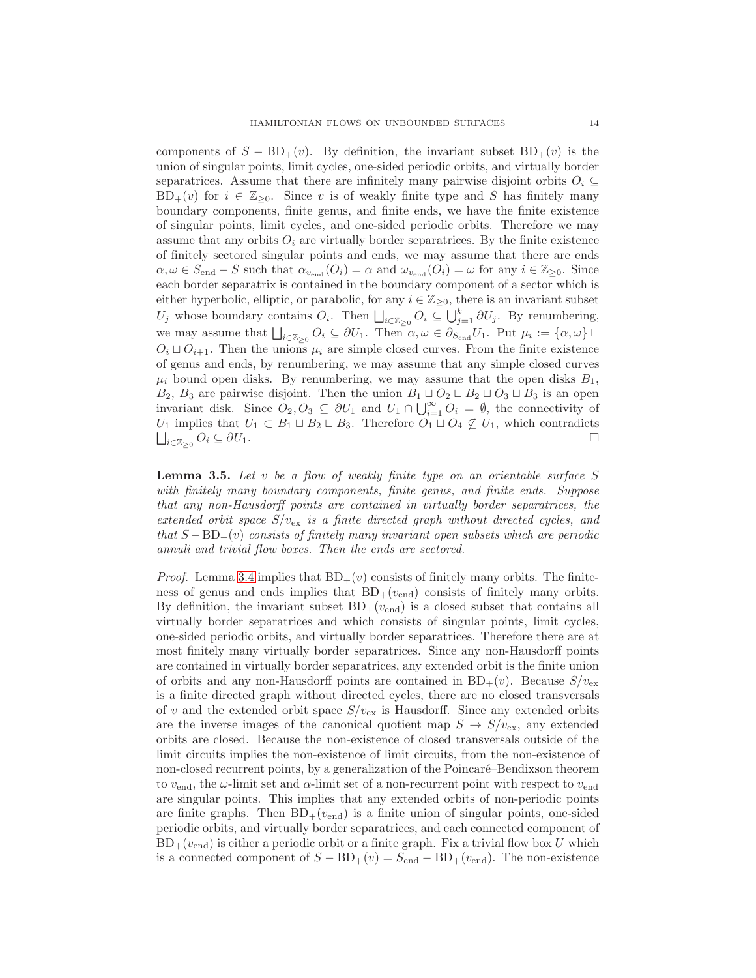components of  $S - BD_+(v)$ . By definition, the invariant subset  $BD_+(v)$  is the union of singular points, limit cycles, one-sided periodic orbits, and virtually border separatrices. Assume that there are infinitely many pairwise disjoint orbits  $O_i \subseteq$  $BD_+(v)$  for  $i \in \mathbb{Z}_{\geq 0}$ . Since v is of weakly finite type and S has finitely many boundary components, finite genus, and finite ends, we have the finite existence of singular points, limit cycles, and one-sided periodic orbits. Therefore we may assume that any orbits  $O_i$  are virtually border separatrices. By the finite existence of finitely sectored singular points and ends, we may assume that there are ends  $\alpha, \omega \in S_{\text{end}} - S$  such that  $\alpha_{v_{\text{end}}} (O_i) = \alpha$  and  $\omega_{v_{\text{end}}} (O_i) = \omega$  for any  $i \in \mathbb{Z}_{\geq 0}$ . Since each border separatrix is contained in the boundary component of a sector which is either hyperbolic, elliptic, or parabolic, for any  $i \in \mathbb{Z}_{\geq 0}$ , there is an invariant subset  $U_j$  whose boundary contains  $O_i$ . Then  $\bigsqcup_{i\in\mathbb{Z}_{\geq 0}} O_i \subseteq \bigcup_{j=1}^k \partial U_j$ . By renumbering, we may assume that  $\bigsqcup_{i\in\mathbb{Z}_{\geq 0}} O_i \subseteq \partial U_1$ . Then  $\alpha, \omega \in \partial_{S_{\text{end}}} U_1$ . Put  $\mu_i := \{\alpha, \omega\}$  $O_i \sqcup O_{i+1}$ . Then the unions  $\mu_i$  are simple closed curves. From the finite existence of genus and ends, by renumbering, we may assume that any simple closed curves  $\mu_i$  bound open disks. By renumbering, we may assume that the open disks  $B_1$ , B<sub>2</sub>, B<sub>3</sub> are pairwise disjoint. Then the union  $B_1 \sqcup O_2 \sqcup B_2 \sqcup O_3 \sqcup B_3$  is an open invariant disk. Since  $O_2, O_3 \subseteq \partial U_1$  and  $U_1 \cap \bigcup_{i=1}^{\infty} O_i = \emptyset$ , the connectivity of  $U_1$  implies that  $U_1 \subset B_1 \sqcup B_2 \sqcup B_3$ . Therefore  $O_1 \sqcup O_4 \not\subseteq U_1$ , which contradicts  $\sqcup_{i \in \mathbb{Z}} O_i \subset \partial U_1$ .  $\Box$  $\bigcup_{i\in\mathbb{Z}_{\geq 0}}$  $O_i \subseteq \partial U_1.$ 

<span id="page-13-0"></span>**Lemma 3.5.** Let  $v$  be a flow of weakly finite type on an orientable surface  $S$ with finitely many boundary components, finite genus, and finite ends. Suppose that any non-Hausdorff points are contained in virtually border separatrices, the extended orbit space  $S/v_{\rm ex}$  is a finite directed graph without directed cycles, and that  $S - BD_{+}(v)$  consists of finitely many invariant open subsets which are periodic annuli and trivial flow boxes. Then the ends are sectored.

*Proof.* Lemma [3.4](#page-12-1) implies that  $BD_+(v)$  consists of finitely many orbits. The finiteness of genus and ends implies that  $BD_+(v_{end})$  consists of finitely many orbits. By definition, the invariant subset  $BD_{+}(v_{end})$  is a closed subset that contains all virtually border separatrices and which consists of singular points, limit cycles, one-sided periodic orbits, and virtually border separatrices. Therefore there are at most finitely many virtually border separatrices. Since any non-Hausdorff points are contained in virtually border separatrices, any extended orbit is the finite union of orbits and any non-Hausdorff points are contained in  $BD_+(v)$ . Because  $S/v_{ex}$ is a finite directed graph without directed cycles, there are no closed transversals of v and the extended orbit space  $S/v_{\text{ex}}$  is Hausdorff. Since any extended orbits are the inverse images of the canonical quotient map  $S \to S/v_{\text{ex}}$ , any extended orbits are closed. Because the non-existence of closed transversals outside of the limit circuits implies the non-existence of limit circuits, from the non-existence of non-closed recurrent points, by a generalization of the Poincaré–Bendixson theorem to  $v_{\text{end}}$ , the  $\omega$ -limit set and  $\alpha$ -limit set of a non-recurrent point with respect to  $v_{\text{end}}$ are singular points. This implies that any extended orbits of non-periodic points are finite graphs. Then  $BD_+(v_{end})$  is a finite union of singular points, one-sided periodic orbits, and virtually border separatrices, and each connected component of  $BD_+(v_{end})$  is either a periodic orbit or a finite graph. Fix a trivial flow box U which is a connected component of  $S - BD_+(v) = S_{end} - BD_+(v_{end})$ . The non-existence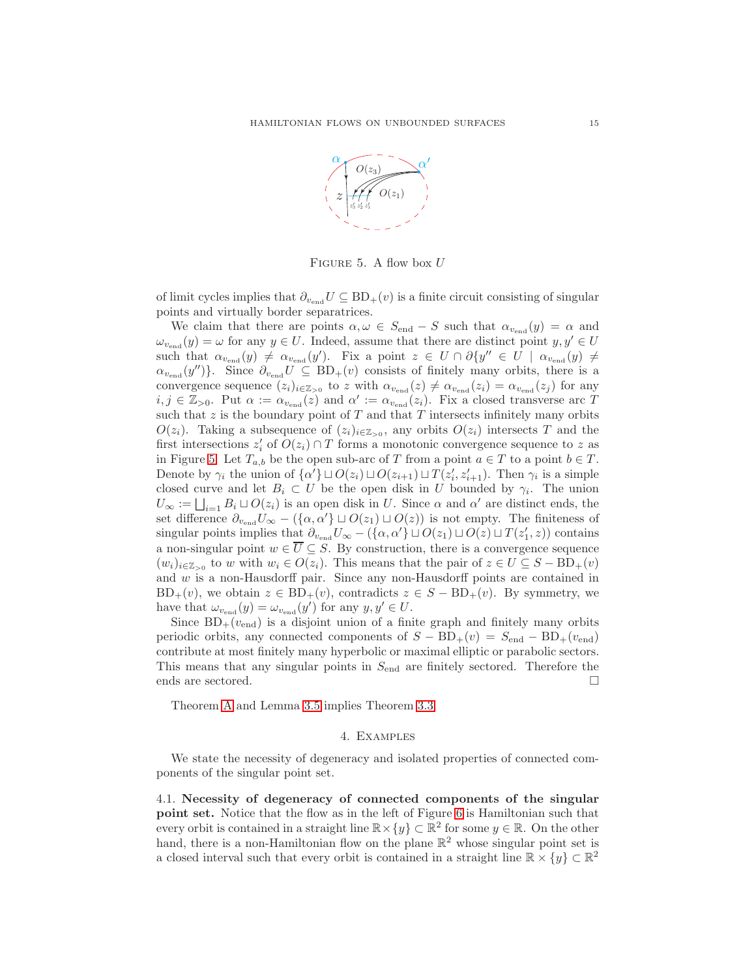

<span id="page-14-0"></span>FIGURE 5. A flow box  $U$ 

of limit cycles implies that  $\partial_{v_{\text{end}}} U \subseteq BD_+(v)$  is a finite circuit consisting of singular points and virtually border separatrices.

We claim that there are points  $\alpha, \omega \in S_{end} - S$  such that  $\alpha_{v_{end}}(y) = \alpha$  and  $\omega_{v_{\text{end}}}(y) = \omega$  for any  $y \in U$ . Indeed, assume that there are distinct point  $y, y' \in U$ such that  $\alpha_{v_{\text{end}}}(y) \neq \alpha_{v_{\text{end}}}(y')$ . Fix a point  $z \in U \cap \partial \{y'' \in U \mid \alpha_{v_{\text{end}}}(y) \neq$  $\alpha_{v_{\text{end}}}(y'')\}$ . Since  $\partial_{v_{\text{end}}}(U \subseteq BD_+(v)$  consists of finitely many orbits, there is a convergence sequence  $(z_i)_{i\in\mathbb{Z}_{\geq 0}}$  to z with  $\alpha_{v_{\text{end}}}(z) \neq \alpha_{v_{\text{end}}}(z_i) = \alpha_{v_{\text{end}}}(z_j)$  for any  $i, j \in \mathbb{Z}_{>0}$ . Put  $\alpha := \alpha_{v_{\text{end}}} (z)$  and  $\alpha' := \alpha_{v_{\text{end}}} (z_i)$ . Fix a closed transverse arc T such that  $z$  is the boundary point of  $T$  and that  $T$  intersects infinitely many orbits  $O(z_i)$ . Taking a subsequence of  $(z_i)_{i\in\mathbb{Z}_{>0}}$ , any orbits  $O(z_i)$  intersects T and the first intersections  $z'_i$  of  $O(z_i) \cap T$  forms a monotonic convergence sequence to z as in Figure [5.](#page-14-0) Let  $T_{a,b}$  be the open sub-arc of T from a point  $a \in T$  to a point  $b \in T$ . Denote by  $\gamma_i$  the union of  $\{\alpha'\}\sqcup O(z_i)\sqcup O(z_{i+1})\sqcup T(z'_i,z'_{i+1})$ . Then  $\gamma_i$  is a simple closed curve and let  $B_i \subset U$  be the open disk in U bounded by  $\gamma_i$ . The union  $U_{\infty} := \bigsqcup_{i=1} B_i \sqcup O(z_i)$  is an open disk in U. Since  $\alpha$  and  $\alpha'$  are distinct ends, the set difference  $\partial_{v_{\text{end}}} U_{\infty} - (\{\alpha, \alpha'\} \sqcup O(z_1) \sqcup O(z))$  is not empty. The finiteness of singular points implies that  $\partial_{v_{\text{end}}} U_{\infty} - (\{\alpha, \alpha'\} \sqcup O(z_1) \sqcup O(z) \sqcup T(z'_1, z))$  contains a non-singular point  $w \in \overline{U} \subseteq S$ . By construction, there is a convergence sequence  $(w_i)_{i\in\mathbb{Z}_{>0}}$  to w with  $w_i \in O(z_i)$ . This means that the pair of  $z \in U \subseteq S - BD_+(v)$ and w is a non-Hausdorff pair. Since any non-Hausdorff points are contained in  $BD_+(v)$ , we obtain  $z \in BD_+(v)$ , contradicts  $z \in S - BD_+(v)$ . By symmetry, we have that  $\omega_{v_{\text{end}}}(y) = \omega_{v_{\text{end}}}(y')$  for any  $y, y' \in U$ .

Since  $BD_+(v_{end})$  is a disjoint union of a finite graph and finitely many orbits periodic orbits, any connected components of  $S - BD_+(v) = S_{end} - BD_+(v_{end})$ contribute at most finitely many hyperbolic or maximal elliptic or parabolic sectors. This means that any singular points in  $S_{\text{end}}$  are finitely sectored. Therefore the ends are sectored.

Theorem [A](#page-2-0) and Lemma [3.5](#page-13-0) implies Theorem [3.3.](#page-12-0)

## 4. Examples

We state the necessity of degeneracy and isolated properties of connected components of the singular point set.

4.1. Necessity of degeneracy of connected components of the singular point set. Notice that the flow as in the left of Figure [6](#page-15-1) is Hamiltonian such that every orbit is contained in a straight line  $\mathbb{R} \times \{y\} \subset \mathbb{R}^2$  for some  $y \in \mathbb{R}$ . On the other hand, there is a non-Hamiltonian flow on the plane  $\mathbb{R}^2$  whose singular point set is a closed interval such that every orbit is contained in a straight line  $\mathbb{R} \times \{y\} \subset \mathbb{R}^2$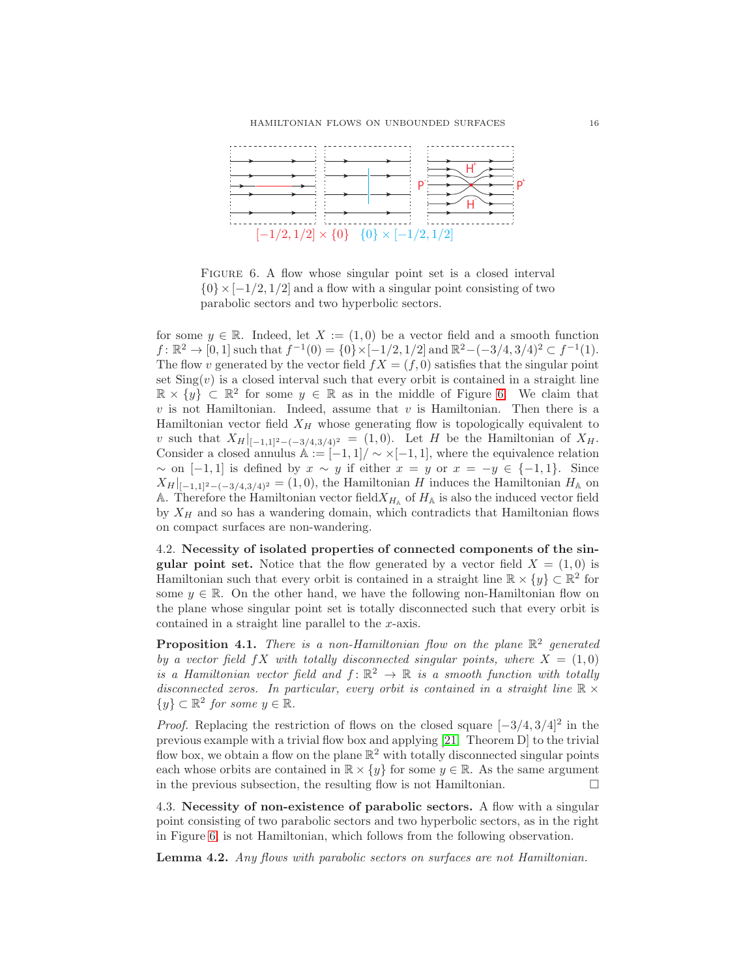

<span id="page-15-1"></span>FIGURE 6. A flow whose singular point set is a closed interval  $\{0\} \times [-1/2, 1/2]$  and a flow with a singular point consisting of two parabolic sectors and two hyperbolic sectors.

for some  $y \in \mathbb{R}$ . Indeed, let  $X := (1,0)$  be a vector field and a smooth function  $f: \mathbb{R}^2 \to [0, 1]$  such that  $f^{-1}(0) = \{0\} \times [-1/2, 1/2]$  and  $\mathbb{R}^2 - (-3/4, 3/4)^2 \subset f^{-1}(1)$ . The flow v generated by the vector field  $fX = (f, 0)$  satisfies that the singular point set  $\text{Sing}(v)$  is a closed interval such that every orbit is contained in a straight line  $\mathbb{R} \times \{y\} \subset \mathbb{R}^2$  for some  $y \in \mathbb{R}$  as in the middle of Figure [6.](#page-15-1) We claim that  $v$  is not Hamiltonian. Indeed, assume that  $v$  is Hamiltonian. Then there is a Hamiltonian vector field  $X_H$  whose generating flow is topologically equivalent to v such that  $X_H|_{[-1,1]^2-(-3/4,3/4)^2} = (1,0)$ . Let H be the Hamiltonian of  $X_H$ . Consider a closed annulus  $\mathbb{A} := [-1,1] / \sim \times [-1,1]$ , where the equivalence relation  $\sim$  on [−1, 1] is defined by  $x \sim y$  if either  $x = y$  or  $x = -y \in \{-1, 1\}$ . Since  $X_H|_{[-1,1]^2-(-3/4,3/4)^2} = (1,0)$ , the Hamiltonian H induces the Hamiltonian  $H_A$  on A. Therefore the Hamiltonian vector field  $X_{H_{\mathbb{A}}}$  of  $H_{\mathbb{A}}$  is also the induced vector field by  $X_H$  and so has a wandering domain, which contradicts that Hamiltonian flows on compact surfaces are non-wandering.

4.2. Necessity of isolated properties of connected components of the sin**gular point set.** Notice that the flow generated by a vector field  $X = (1,0)$  is Hamiltonian such that every orbit is contained in a straight line  $\mathbb{R} \times \{y\} \subset \mathbb{R}^2$  for some  $y \in \mathbb{R}$ . On the other hand, we have the following non-Hamiltonian flow on the plane whose singular point set is totally disconnected such that every orbit is contained in a straight line parallel to the x-axis.

<span id="page-15-0"></span>**Proposition 4.1.** There is a non-Hamiltonian flow on the plane  $\mathbb{R}^2$  generated by a vector field  $fX$  with totally disconnected singular points, where  $X = (1,0)$ is a Hamiltonian vector field and  $f: \mathbb{R}^2 \to \mathbb{R}$  is a smooth function with totally disconnected zeros. In particular, every orbit is contained in a straight line  $\mathbb{R} \times$  $\{y\} \subset \mathbb{R}^2$  for some  $y \in \mathbb{R}$ .

*Proof.* Replacing the restriction of flows on the closed square  $[-3/4, 3/4]^2$  in the previous example with a trivial flow box and applying [\[21,](#page-17-3) Theorem D] to the trivial flow box, we obtain a flow on the plane  $\mathbb{R}^2$  with totally disconnected singular points each whose orbits are contained in  $\mathbb{R} \times \{y\}$  for some  $y \in \mathbb{R}$ . As the same argument in the previous subsection the resulting flow is not Hamiltonian in the previous subsection, the resulting flow is not Hamiltonian.

4.3. Necessity of non-existence of parabolic sectors. A flow with a singular point consisting of two parabolic sectors and two hyperbolic sectors, as in the right in Figure [6,](#page-15-1) is not Hamiltonian, which follows from the following observation.

Lemma 4.2. Any flows with parabolic sectors on surfaces are not Hamiltonian.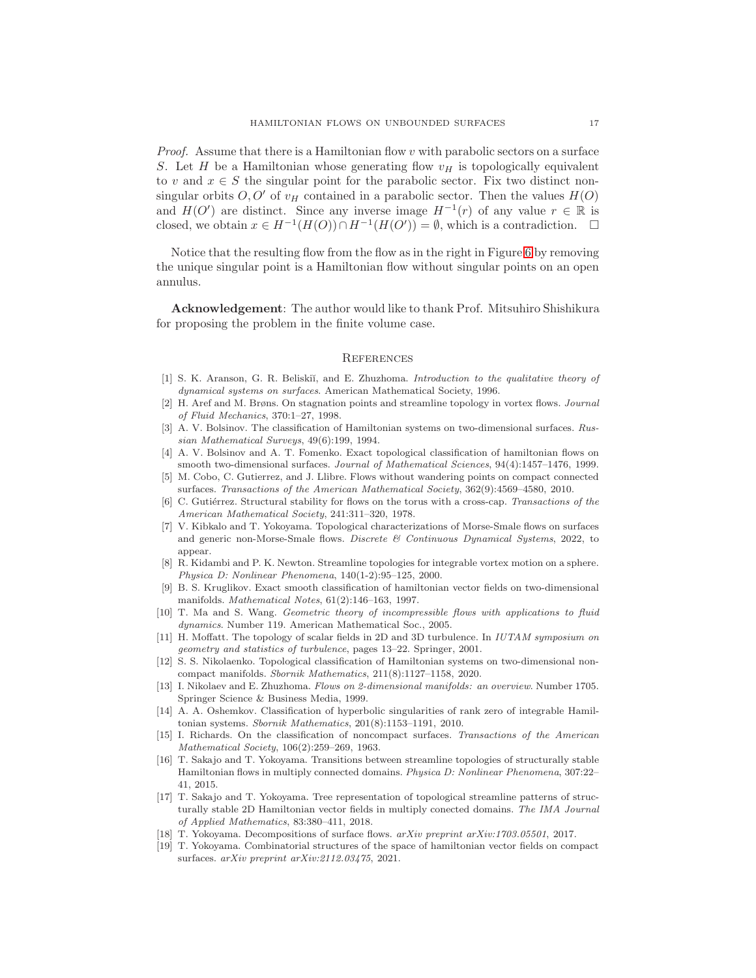*Proof.* Assume that there is a Hamiltonian flow  $v$  with parabolic sectors on a surface S. Let H be a Hamiltonian whose generating flow  $v_H$  is topologically equivalent to v and  $x \in S$  the singular point for the parabolic sector. Fix two distinct nonsingular orbits  $O, O'$  of  $v_H$  contained in a parabolic sector. Then the values  $H(O)$ and  $H(O')$  are distinct. Since any inverse image  $H^{-1}(r)$  of any value  $r \in \mathbb{R}$  is closed, we obtain  $x \in H^{-1}(H(O)) \cap H^{-1}(H(O')) = \emptyset$ , which is a contradiction.  $\square$ 

Notice that the resulting flow from the flow as in the right in Figure [6](#page-15-1) by removing the unique singular point is a Hamiltonian flow without singular points on an open annulus.

Acknowledgement: The author would like to thank Prof. Mitsuhiro Shishikura for proposing the problem in the finite volume case.

#### **REFERENCES**

- <span id="page-16-18"></span>[1] S. K. Aranson, G. R. Beliski˘ı, and E. Zhuzhoma. *Introduction to the qualitative theory of dynamical systems on surfaces*. American Mathematical Society, 1996.
- <span id="page-16-4"></span>[2] H. Aref and M. Brøns. On stagnation points and streamline topology in vortex flows. *Journal of Fluid Mechanics*, 370:1–27, 1998.
- <span id="page-16-0"></span>[3] A. V. Bolsinov. The classification of Hamiltonian systems on two-dimensional surfaces. *Russian Mathematical Surveys*, 49(6):199, 1994.
- <span id="page-16-1"></span>[4] A. V. Bolsinov and A. T. Fomenko. Exact topological classification of hamiltonian flows on smooth two-dimensional surfaces. *Journal of Mathematical Sciences*, 94(4):1457–1476, 1999.
- <span id="page-16-13"></span>[5] M. Cobo, C. Gutierrez, and J. Llibre. Flows without wandering points on compact connected surfaces. *Transactions of the American Mathematical Society*, 362(9):4569–4580, 2010.
- <span id="page-16-16"></span>C. Gutiérrez. Structural stability for flows on the torus with a cross-cap. *Transactions of the American Mathematical Society*, 241:311–320, 1978.
- <span id="page-16-12"></span>[7] V. Kibkalo and T. Yokoyama. Topological characterizations of Morse-Smale flows on surfaces and generic non-Morse-Smale flows. *Discrete & Continuous Dynamical Systems*, 2022, to appear.
- <span id="page-16-5"></span>[8] R. Kidambi and P. K. Newton. Streamline topologies for integrable vortex motion on a sphere. *Physica D: Nonlinear Phenomena*, 140(1-2):95–125, 2000.
- <span id="page-16-2"></span>[9] B. S. Kruglikov. Exact smooth classification of hamiltonian vector fields on two-dimensional manifolds. *Mathematical Notes*, 61(2):146–163, 1997.
- <span id="page-16-8"></span>[10] T. Ma and S. Wang. *Geometric theory of incompressible flows with applications to fluid dynamics*. Number 119. American Mathematical Soc., 2005.
- <span id="page-16-6"></span>[11] H. Moffatt. The topology of scalar fields in 2D and 3D turbulence. In *IUTAM symposium on geometry and statistics of turbulence*, pages 13–22. Springer, 2001.
- <span id="page-16-7"></span>[12] S. S. Nikolaenko. Topological classification of Hamiltonian systems on two-dimensional noncompact manifolds. *Sbornik Mathematics*, 211(8):1127–1158, 2020.
- <span id="page-16-17"></span>[13] I. Nikolaev and E. Zhuzhoma. *Flows on 2-dimensional manifolds: an overview*. Number 1705. Springer Science & Business Media, 1999.
- <span id="page-16-3"></span>[14] A. A. Oshemkov. Classification of hyperbolic singularities of rank zero of integrable Hamiltonian systems. *Sbornik Mathematics*, 201(8):1153–1191, 2010.
- <span id="page-16-14"></span>[15] I. Richards. On the classification of noncompact surfaces. *Transactions of the American Mathematical Society*, 106(2):259–269, 1963.
- <span id="page-16-10"></span>[16] T. Sakajo and T. Yokoyama. Transitions between streamline topologies of structurally stable Hamiltonian flows in multiply connected domains. *Physica D: Nonlinear Phenomena*, 307:22– 41, 2015.
- <span id="page-16-9"></span>[17] T. Sakajo and T. Yokoyama. Tree representation of topological streamline patterns of structurally stable 2D Hamiltonian vector fields in multiply conected domains. *The IMA Journal of Applied Mathematics*, 83:380–411, 2018.
- <span id="page-16-15"></span><span id="page-16-11"></span>[18] T. Yokoyama. Decompositions of surface flows. *arXiv preprint arXiv:1703.05501*, 2017.
- [19] T. Yokoyama. Combinatorial structures of the space of hamiltonian vector fields on compact surfaces. *arXiv preprint arXiv:2112.03475*, 2021.